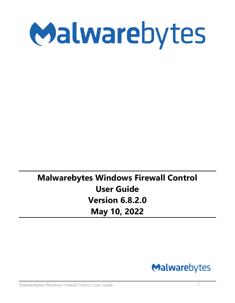

# **Malwarebytes Windows Firewall Control User Guide Version 6.8.2.0 May 10, 2022**

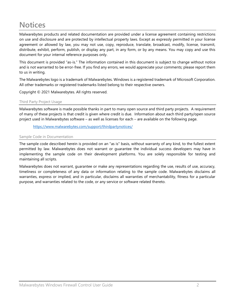# <span id="page-1-0"></span>**Notices**

Malwarebytes products and related documentation are provided under a license agreement containing restrictions on use and disclosure and are protected by intellectual property laws. Except as expressly permitted in your license agreement or allowed by law, you may not use, copy, reproduce, translate, broadcast, modify, license, transmit, distribute, exhibit, perform, publish, or display any part, in any form, or by any means. You may copy and use this document for your internal reference purposes only.

This document is provided "as-is." The information contained in this document is subject to change without notice and is not warranted to be error-free. If you find any errors, we would appreciate your comments; please report them to us in writing.

The Malwarebytes logo is a trademark of Malwarebytes. Windows is a registered trademark of Microsoft Corporation. All other trademarks or registered trademarks listed belong to their respective owners.

Copyright © 2021 Malwarebytes. All rights reserved.

#### <span id="page-1-1"></span>Third Party Project Usage

Malwarebytes software is made possible thanks in part to many open source and third party projects. A requirement of many of these projects is that credit is given where credit is due. Information about each third party/open source project used in Malwarebytes software – as well as licenses for each – are available on the following page.

<https://www.malwarebytes.com/support/thirdpartynotices/>

#### <span id="page-1-2"></span>Sample Code in Documentation

The sample code described herein is provided on an "as is" basis, without warranty of any kind, to the fullest extent permitted by law. Malwarebytes does not warrant or guarantee the individual success developers may have in implementing the sample code on their development platforms. You are solely responsible for testing and maintaining all scripts.

Malwarebytes does not warrant, guarantee or make any representations regarding the use, results of use, accuracy, timeliness or completeness of any data or information relating to the sample code. Malwarebytes disclaims all warranties, express or implied, and in particular, disclaims all warranties of merchantability, fitness for a particular purpose, and warranties related to the code, or any service or software related thereto.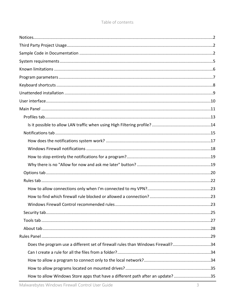| Does the program use a different set of firewall rules than Windows Firewall?34 |  |
|---------------------------------------------------------------------------------|--|
|                                                                                 |  |
|                                                                                 |  |
|                                                                                 |  |
| How to allow Windows Store apps that have a different path after an update? 35  |  |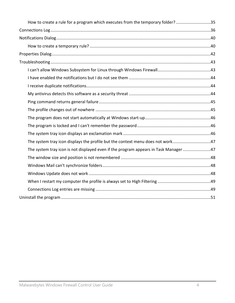| How to create a rule for a program which executes from the temporary folder? 35      |  |
|--------------------------------------------------------------------------------------|--|
|                                                                                      |  |
|                                                                                      |  |
|                                                                                      |  |
|                                                                                      |  |
|                                                                                      |  |
|                                                                                      |  |
|                                                                                      |  |
|                                                                                      |  |
|                                                                                      |  |
|                                                                                      |  |
|                                                                                      |  |
|                                                                                      |  |
|                                                                                      |  |
|                                                                                      |  |
| The system tray icon displays the profile but the context menu does not work47       |  |
| The system tray icon is not displayed even if the program appears in Task Manager 47 |  |
|                                                                                      |  |
|                                                                                      |  |
|                                                                                      |  |
|                                                                                      |  |
|                                                                                      |  |
|                                                                                      |  |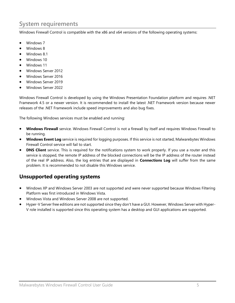# <span id="page-4-0"></span>**System requirements**

Windows Firewall Control is compatible with the x86 and x64 versions of the following operating systems:

- Windows 7
- Windows 8
- Windows 8.1
- Windows 10
- Windows 11
- Windows Server 2012
- Windows Server 2016
- Windows Server 2019
- Windows Server 2022

Windows Firewall Control is developed by using the Windows Presentation Foundation platform and requires .NET Framework 4.5 or a newer version. It is recommended to install the latest .NET Framework version because newer releases of the .NET Framework include speed improvements and also bug fixes.

The following Windows services must be enabled and running:

- **Windows Firewall** service. Windows Firewall Control is not a firewall by itself and requires Windows Firewall to be running.
- **Windows Event Log** service is required for logging purposes. If this service is not started, Malwarebytes Windows Firewall Control service will fail to start.
- **DNS Client** service. This is required for the notifications system to work properly. If you use a router and this service is stopped, the remote IP address of the blocked connections will be the IP address of the router instead of the real IP address. Also, the log entries that are displayed in **Connections Log** will suffer from the same problem. It is recommended to not disable this Windows service.

# **Unsupported operating systems**

- Windows XP and Windows Server 2003 are not supported and were never supported because Windows Filtering Platform was first introduced in Windows Vista.
- Windows Vista and Windows Server 2008 are not supported.
- Hyper-V Server free editions are not supported since they don't have a GUI. However, Windows Server with Hyper-V role installed is supported since this operating system has a desktop and GUI applications are supported.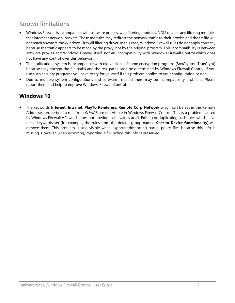# <span id="page-5-0"></span>**Known limitations**

- Windows Firewall is incompatible with software proxies, web filtering modules, NDIS drivers, any filtering modules that intercept network packets. These modules may redirect the network traffic to their proxies and the traffic will not reach anymore the Windows Firewall filtering driver. In this case, Windows Firewall rules do not apply correctly because the traffic appears to be made by the proxy, not by the original program. This incompatibility is between software proxies and Windows Firewall itself, not an incompatibility with Windows Firewall Control which does not have any control over this behavior.
- The notifications system is incompatible with old versions of some encryption programs (BoxCryptor, TrueCrypt) because they encrypt the file paths and the real paths can't be determined by Windows Firewall Control. If you use such security programs you have to try for yourself if this problem applies to your configuration or not.
- Due to multiple system configurations and software installed there may be incompatibility problems. Please report them and help to improve Windows Firewall Control.

# **Windows 10**

• The keywords **Internet**, **Intranet**, **PlayTo Renderers**, **Remote Corp Network** which can be set in the Remote Addresses property of a rule from WFwAS are not visible in Windows Firewall Control. This is a problem caused by Windows Firewall API which does not provide these values at all. Editing or duplicating such rules which have these keywords set (for example, the rules from the default group named **Cast to Device functionality**) will remove them. This problem is also visible when exporting/importing partial policy files because this info is missing. However, when exporting/importing a full policy, this info is preserved.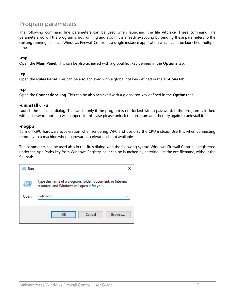# <span id="page-6-0"></span>**Program parameters**

The following command line parameters can be used when launching the file **wfc.exe**. These command line parameters work if the program is not running and also if it is already executing by sending these parameters to the existing running instance. Windows Firewall Control is a single instance application which can't be launched multiple times.

#### **-mp**

Open the **Main Panel**. This can be also achieved with a global hot key defined in the **Options** tab.

#### **-rp**

Open the **Rules Panel**. This can be also achieved with a global hot key defined in the **Options** tab.

#### **-cp**

Open the **Connections Log**. This can be also achieved with a global hot key defined in the **Options** tab.

#### **-uninstall** or **-u**

Launch the uninstall dialog. This works only if the program is not locked with a password. If the program is locked with a password nothing will happen. In this case please unlock the program and then try again to uninstall it.

#### **-nogpu**

Turn off GPU hardware acceleration when rendering WFC and use only the CPU instead. Use this when connecting remotely to a machine where hardware acceleration is not available.

The parameters can be used also in the **Run** dialog with the following syntax. Windows Firewall Control is registered under the App Paths key from Windows Registry, so it can be launched by entering just the exe filename, without the full path.

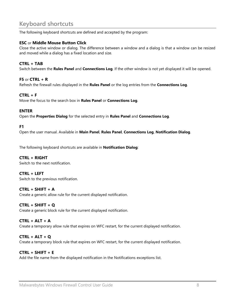# <span id="page-7-0"></span>**Keyboard shortcuts**

The following keyboard shortcuts are defined and accepted by the program:

#### **ESC** or **Middle Mouse Button Click**

Close the active window or dialog. The difference between a window and a dialog is that a window can be resized and moved while a dialog has a fixed location and size.

#### **CTRL + TAB**

Switch between the **Rules Panel** and **Connections Log**. If the other window is not yet displayed it will be opened.

#### **F5** or **CTRL + R**

Refresh the firewall rules displayed in the **Rules Panel** or the log entries from the **Connections Log**.

#### **CTRL + F**

Move the focus to the search box in **Rules Panel** or **Connections Log**.

#### **ENTER**

Open the **Properties Dialog** for the selected entry in **Rules Panel** and **Connections Log**.

#### **F1**

Open the user manual. Available in **Main Panel**, **Rules Panel**, **Connections Log**, **Notification Dialog**.

The following keyboard shortcuts are available in **Notification Dialog**:

#### **CTRL + RIGHT**

Switch to the next notification.

#### **CTRL + LEFT**

Switch to the previous notification.

#### **CTRL + SHIFT + A**

Create a generic allow rule for the current displayed notification.

#### **CTRL + SHIFT + Q**

Create a generic block rule for the current displayed notification.

#### **CTRL + ALT + A**

Create a temporary allow rule that expires on WFC restart, for the current displayed notification.

#### **CTRL + ALT + Q**

Create a temporary block rule that expires on WFC restart, for the current displayed notification.

#### **CTRL + SHIFT + E**

Add the file name from the displayed notification in the Notifications exceptions list.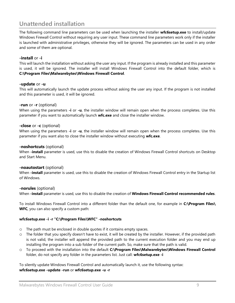# <span id="page-8-0"></span>**Unattended installation**

The following command line parameters can be used when launching the installer **wfc6setup.exe** to install/update Windows Firewall Control without requiring any user input. These command line parameters work only if the installer is launched with administrative privileges, otherwise they will be ignored. The parameters can be used in any order and some of them are optional.

#### **-install** or **-i**

This will launch the installation without asking the user any input. If the program is already installed and this parameter is used, it will be ignored. The installer will install Windows Firewall Control into the default folder, which is **C:\Program Files\Malwarebytes\Windows Firewall Control**.

#### **-update** or **-u**

This will automatically launch the update process without asking the user any input. If the program is not installed and this parameter is used, it will be ignored.

#### **-run** or **-r** (optional)

When using the parameters **-i** or **-u**, the installer window will remain open when the process completes. Use this parameter if you want to automatically launch **wfc.exe** and close the installer window.

#### **-close** or **-c** (optional)

When using the parameters **-i** or **-u**, the installer window will remain open when the process completes. Use this parameter if you want also to close the installer window without executing **wfc.exe**.

#### **-noshortcuts** (optional)

When **-install** parameter is used, use this to disable the creation of Windows Firewall Control shortcuts on Desktop and Start Menu.

#### **-noautostart** (optional)

When **-install** parameter is used, use this to disable the creation of Windows Firewall Control entry in the Startup list of Windows.

#### **-norules** (optional)

When **-install** parameter is used, use this to disable the creation of **Windows Firewall Control recommended rules**.

To install Windows Firewall Control into a different folder than the default one, for example in **C:\Program Files\ WFC**, you can also specify a custom path:

#### **wfc6setup.exe -i -r "C:\Program Files\WFC" -noshortcuts**

- o The path must be enclosed in double quotes if it contains empty spaces.
- o The folder that you specify doesn't have to exist, it will be created by the installer. However, if the provided path is not valid, the installer will append the provided path to the current execution folder and you may end up installing the program into a sub folder of the current path. So, make sure that the path is valid.
- o To proceed with the installation into the default **C:\Program Files\Malwarebytes\Windows Firewall Control**  folder, do not specify any folder in the parameters list. Just call: **wfc6setup.exe -i**

To silently update Windows Firewall Control and automatically launch it, use the following syntax: **wfc6setup.exe -update -run** or **wfc6setup.exe -u -r**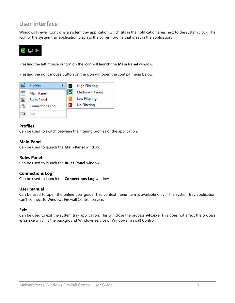# <span id="page-9-0"></span>**User interface**

Windows Firewall Control is a system tray application which sits in the notification area, next to the system clock. The icon of the system tray application displays the current profile that is set in the application.



Pressing the left mouse button on the icon will launch the **Main Panel** window.

Pressing the right mouse button on the icon will open the context menu below.



#### **Profiles**

Can be used to switch between the filtering profiles of the application.

#### **Main Panel**

Can be used to launch the **Main Panel** window.

#### **Rules Panel**

Can be used to launch the **Rules Panel** window.

#### **Connections Log**

Can be used to launch the **Connections Log** window.

#### **User manual**

Can be used to open the online user guide. This context menu item is available only if the system tray application can't connect to Windows Firewall Control service.

#### **Exit**

Can be used to exit the system tray application. This will close the process **wfc.exe**. This does not affect the process **wfcs.exe** which is the background Windows service of Windows Firewall Control.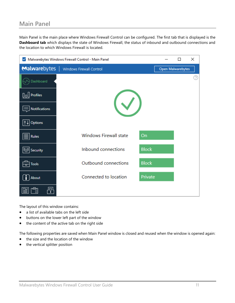# <span id="page-10-0"></span>**Main Panel**

Main Panel is the main place where Windows Firewall Control can be configured. The first tab that is displayed is the **Dashboard tab** which displays the state of Windows Firewall, the status of inbound and outbound connections and the location to which Windows Firewall is located.

| $\checkmark$     | Malwarebytes Windows Firewall Control - Main Panel |              |                          | П | × |
|------------------|----------------------------------------------------|--------------|--------------------------|---|---|
| Malwarebytes     | Windows Firewall Control                           |              | <b>Open Malwarebytes</b> |   |   |
| Dashboard        |                                                    |              |                          |   | 7 |
|                  |                                                    |              |                          |   |   |
| Notifications    |                                                    |              |                          |   |   |
| <b>4</b> Options |                                                    |              |                          |   |   |
| Rules            | <b>Windows Firewall state</b>                      | On           |                          |   |   |
| Security         | Inbound connections                                | <b>Block</b> |                          |   |   |
| Tools<br>ᆔ       | Outbound connections                               | <b>Block</b> |                          |   |   |
| About            | Connected to location                              | Private      |                          |   |   |
|                  |                                                    |              |                          |   |   |

The layout of this window contains:

- a list of available tabs on the left side
- buttons on the lower left part of the window
- the content of the active tab on the right side

The following properties are saved when Main Panel window is closed and reused when the window is opened again:

- the size and the location of the window
- the vertical splitter position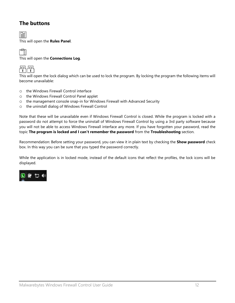# **The buttons**

旨

This will open the **Rules Panel**.

雪

This will open the **Connections Log**.



This will open the lock dialog which can be used to lock the program. By locking the program the following items will become unavailable:

- o the Windows Firewall Control interface
- o the Windows Firewall Control Panel applet
- o the management console snap-in for Windows Firewall with Advanced Security
- o the uninstall dialog of Windows Firewall Control

Note that these will be unavailable even if Windows Firewall Control is closed. While the program is locked with a password do not attempt to force the uninstall of Windows Firewall Control by using a 3rd party software because you will not be able to access Windows Firewall interface any more. If you have forgotten your password, read the topic **The program is locked and I can't remember the password** from the **Troubleshooting** section.

Recommendation: Before setting your password, you can view it in plain text by checking the **Show password** check box. In this way you can be sure that you typed the password correctly.

While the application is in locked mode, instead of the default icons that reflect the profiles, the lock icons will be displayed.

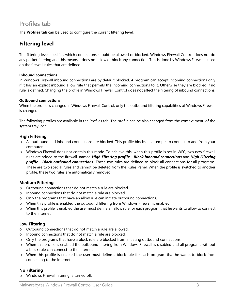# <span id="page-12-0"></span>**Profiles tab**

The **Profiles tab** can be used to configure the current filtering level.

# **Filtering level**

The filtering level specifies which connections should be allowed or blocked. Windows Firewall Control does not do any packet filtering and this means it does not allow or block any connection. This is done by Windows Firewall based on the firewall rules that are defined.

#### **Inbound connections**

In Windows Firewall inbound connections are by default blocked. A program can accept incoming connections only if it has an explicit inbound allow rule that permits the incoming connections to it. Otherwise they are blocked if no rule is defined. Changing the profile in Windows Firewall Control does not affect the filtering of inbound connections.

#### **Outbound connections**

When the profile is changed in Windows Firewall Control, only the outbound filtering capabilities of Windows Firewall is changed.

The following profiles are available in the Profiles tab. The profile can be also changed from the context menu of the system tray icon.

#### **High Filtering**

- o All outbound and inbound connections are blocked. This profile blocks all attempts to connect to and from your computer.
- o Windows Firewall does not contain this mode. To achieve this, when this profile is set in WFC, two new firewall rules are added to the firewall, named *High Filtering profile - Block inbound connections* and *High Filtering profile - Block outbound connections***.** These two rules are defined to block all connections for all programs. These are two special rules and cannot be deleted from the Rules Panel. When the profile is switched to another profile, these two rules are automatically removed.

#### **Medium Filtering**

- o Outbound connections that do not match a rule are blocked.
- o Inbound connections that do not match a rule are blocked.
- o Only the programs that have an allow rule can initiate outbound connections.
- o When this profile is enabled the outbound filtering from Windows Firewall is enabled.
- o When this profile is enabled the user must define an allow rule for each program that he wants to allow to connect to the Internet.

#### **Low Filtering**

- o Outbound connections that do not match a rule are allowed.
- o Inbound connections that do not match a rule are blocked.
- o Only the programs that have a block rule are blocked from initiating outbound connections.
- o When this profile is enabled the outbound filtering from Windows Firewall is disabled and all programs without a block rule can connect to the Internet.
- o When this profile is enabled the user must define a block rule for each program that he wants to block from connecting to the Internet.

#### **No Filtering**

o Windows Firewall filtering is turned off.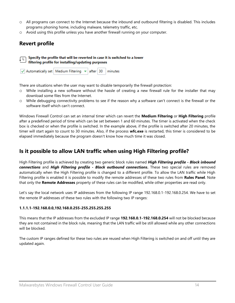- o All programs can connect to the Internet because the inbound and outbound filtering is disabled. This includes programs phoning home, including malware, telemetry traffic, etc.
- o Avoid using this profile unless you have another firewall running on your computer.

# **Revert profile**

Specify the profile that will be reverted in case it is switched to a lower ΙL filtering profile for installing/updating purposes

| $\sqrt{}$ Automatically set   Medium Filtering $\sqrt{}$ after   30   minutes |  |  |  |
|-------------------------------------------------------------------------------|--|--|--|
|                                                                               |  |  |  |

There are situations when the user may want to disable temporarily the firewall protection:

- o While installing a new software without the hassle of creating a new firewall rule for the installer that may download some files from the Internet.
- o While debugging connectivity problems to see if the reason why a software can't connect is the firewall or the software itself which can't connect.

Windows Firewall Control can set an internal timer which can revert the **Medium Filtering** or **High Filtering** profile after a predefined period of time which can be set between 1 and 60 minutes. The timer is activated when the check box is checked or when the profile is switched. In the example above, if the profile is switched after 20 minutes, the timer will start again to count to 30 minutes. Also, if the process **wfc.exe** is restarted, this timer is considered to be elapsed immediately because the program doesn't know how much time it was closed.

# <span id="page-13-0"></span>**Is it possible to allow LAN traffic when using High Filtering profile?**

High Filtering profile is achieved by creating two generic block rules named *High Filtering profile - Block inbound connections* and *High Filtering profile - Block outbound connections***.** These two special rules are removed automatically when the High Filtering profile is changed to a different profile. To allow the LAN traffic while High Filtering profile is enabled it is possible to modify the remote addresses of these two rules from **Rules Panel**. Note that only the **Remote Addresses** property of these rules can be modified, while other properties are read only.

Let's say the local network uses IP addresses from the following IP range 192.168.0.1-192.168.0.254. We have to set the remote IP addresses of these two rules with the following two IP ranges:

#### **1.1.1.1-192.168.0.0,192.168.0.255-255.255.255.255**

This means that the IP addresses from the excluded IP range **192.168.0.1-192.168.0.254** will not be blocked because they are not contained in the block rule, meaning that the LAN traffic will be still allowed while any other connections will be blocked.

The custom IP ranges defined for these two rules are reused when High Filtering is switched on and off until they are updated again.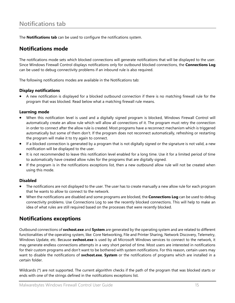<span id="page-14-0"></span>The **Notifications tab** can be used to configure the notifications system.

# **Notifications mode**

The notifications mode sets which blocked connections will generate notifications that will be displayed to the user. Since Windows Firewall Control displays notifications only for outbound blocked connections, the **Connections Log** can be used to debug connectivity problems if an inbound rule is also required.

The following notifications modes are available in the Notifications tab:

#### **Display notifications**

• A new notification is displayed for a blocked outbound connection if there is no matching firewall rule for the program that was blocked. Read below what a matching firewall rule means.

#### **Learning mode**

- When this notification level is used and a digitally signed program is blocked, Windows Firewall Control will automatically create an allow rule which will allow all connections of it. The program must retry the connection in order to connect after the allow rule is created. Most programs have a reconnect mechanism which is triggered automatically but some of them don't. If the program does not reconnect automatically, refreshing or restarting the program will make it to try again to connect.
- If a blocked connection is generated by a program that is not digitally signed or the signature is not valid, a new notification will be displayed to the user.
- It is not recommended to leave this notification level enabled for a long time. Use it for a limited period of time to automatically have created allow rules for the programs that are digitally signed.
- If the program is in the notifications exceptions list, then a new outbound allow rule will not be created when using this mode.

#### **Disabled**

- The notifications are not displayed to the user. The user has to create manually a new allow rule for each program that he wants to allow to connect to the network.
- When the notifications are disabled and some programs are blocked, the **Connections Log** can be used to debug connectivity problems. Use Connections Log to see the recently blocked connections. This will help to make an idea of what rules are still required based on the processes that were recently blocked.

# **Notifications exceptions**

Outbound connections of **svchost.exe** and **System** are generated by the operating system and are related to different functionalities of the operating system, like: Core Networking, File and Printer Sharing, Network Discovery, Telemetry, Windows Update, etc. Because **svchost.exe** is used by all Microsoft Windows services to connect to the network, it may generate endless connections attempts in a very short period of time. Most users are interested in notifications for their custom programs and don't want to be bothered with system notifications. For this reason, certain users may want to disable the notifications of **svchost.exe**, **System** or the notifications of programs which are installed in a certain folder.

Wildcards (\*) are not supported. The current algorithm checks if the path of the program that was blocked starts or ends with one of the strings defined in the notifications exceptions list.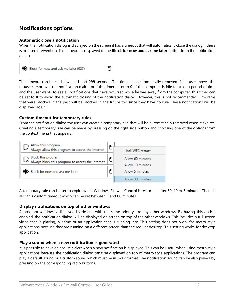# **Notifications options**

#### **Automatic close a notification**

When the notification dialog is displayed on the screen it has a timeout that will automatically close the dialog if there is no user intervention. This timeout is displayed in the **Block for now and ask me later** button from the notification dialog.



This timeout can be set between **1** and **999** seconds. The timeout is automatically removed if the user moves the mouse cursor over the notification dialog or if the timer is set to **0**. If the computer is idle for a long period of time and the user wants to see all notifications that have occurred while he was away from the computer, this timer can be set to **0** to avoid the automatic closing of the notification dialog. However, this is not recommended. Programs that were blocked in the past will be blocked in the future too since they have no rule. These notifications will be displayed again.

#### **Custom timeout for temporary rules**

From the notification dialog the user can create a temporary rule that will be automatically removed when it expires. Creating a temporary rule can be made by pressing on the right side button and choosing one of the options from the context menu that appears.



A temporary rule can be set to expire when Windows Firewall Control is restarted, after 60, 10 or 5 minutes. There is also this custom timeout which can be set between 1 and 60 minutes.

#### **Display notifications on top of other windows**

A program window is displayed by default with the same priority like any other windows. By having this option enabled, the notification dialog will be displayed on screen on top of the other windows. This includes a full screen video that is playing, a game or an application that is running, etc. This setting does not work for metro style applications because they are running on a different screen than the regular desktop. This setting works for desktop application.

#### **Play a sound when a new notification is generated**

It is possible to have an acoustic alert when a new notification is displayed. This can be useful when using metro style applications because the notification dialog can't be displayed on top of metro style applications. The program can play a default sound or a custom sound which must be in **.wav** format. The notification sound can be also played by pressing on the corresponding radio buttons.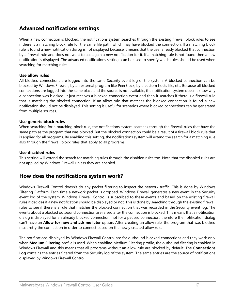# **Advanced notifications settings**

When a new connection is blocked, the notifications system searches through the existing firewall block rules to see if there is a matching block rule for the same file path, which may have blocked the connection. If a matching block rule is found a new notification dialog is not displayed because it means that the user already blocked that connection by a firewall rule and does not want to see again a new notification for it. If a matching rule is not found then a new notification is displayed. The advanced notifications settings can be used to specify which rules should be used when searching for matching rules.

#### **Use allow rules**

All blocked connections are logged into the same Security event log of the system. A blocked connection can be blocked by Windows Firewall, by an external program like PeerBlock, by a custom hosts file, etc. Because all blocked connections are logged into the same place and the source is not available, the notification system doesn't know why a connection was blocked. It just receives a blocked connection event and then it searches if there is a firewall rule that is matching the blocked connection. If an allow rule that matches the blocked connection is found a new notification should not be displayed. This setting is useful for scenarios where blocked connections can be generated from multiple sources.

#### **Use generic block rules**

When searching for a matching block rule, the notifications system searches through the firewall rules that have the same path as the program that was blocked. But the blocked connection could be a result of a firewall block rule that is applied for all programs. By enabling this setting, the notifications system will extend the search for a matching rule also through the firewall block rules that apply to all programs.

#### **Use disabled rules**

This setting will extend the search for matching rules through the disabled rules too. Note that the disabled rules are not applied by Windows Firewall unless they are enabled.

### <span id="page-16-0"></span>**How does the notifications system work?**

Windows Firewall Control doesn't do any packet filtering to inspect the network traffic. This is done by Windows Filtering Platform. Each time a network packet is dropped, Windows Firewall generates a new event in the Security event log of the system. Windows Firewall Control is subscribed to these events and based on the existing firewall rules it decides if a new notification should be displayed or not. This is done by searching through the existing firewall rules to see if there is a rule that matches the blocked connection that was recorded in the Security event log. The events about a blocked outbound connection are raised after the connection is blocked. This means that a notification dialog is displayed for an already blocked connection, not for a paused connection, therefore the notification dialog can't have an **Allow for now and ask me later** option. After creating an allow rule, the program that was blocked must retry the connection in order to connect based on the newly created allow rule.

The notifications displayed by Windows Firewall Control are for outbound blocked connections and they work only when **Medium Filtering** profile is used. When enabling Medium Filtering profile, the outbound filtering is enabled in Windows Firewall and this means that all programs without an allow rule are blocked by default. The **Connections Log** contains the entries filtered from the Security log of the system. The same entries are the source of notifications displayed by Windows Firewall Control.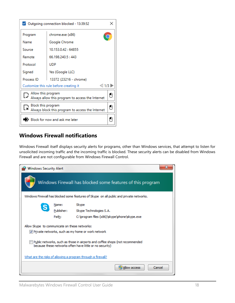|                                                                              | Outgoing connection blocked - 13:39:52              | × |  |  |  |
|------------------------------------------------------------------------------|-----------------------------------------------------|---|--|--|--|
| chrome.exe (x86)<br>Program                                                  |                                                     |   |  |  |  |
| Name                                                                         | Google Chrome                                       |   |  |  |  |
| Source                                                                       | 10.153.0.42:64855                                   |   |  |  |  |
| Remote                                                                       | 66.198.240.5:443                                    |   |  |  |  |
| Protocol<br><b>UDP</b>                                                       |                                                     |   |  |  |  |
| Signed                                                                       | Yes (Google LLC)                                    |   |  |  |  |
| Process ID                                                                   | 13372 (23216 - chrome)                              |   |  |  |  |
|                                                                              | $<$ 1/3  <br>Customize this rule before creating it |   |  |  |  |
| Allow this program                                                           | Always allow this program to access the Internet    |   |  |  |  |
| Block this program<br>Lx<br>Always block this program to access the Internet |                                                     |   |  |  |  |
|                                                                              | Block for now and ask me later                      |   |  |  |  |

# <span id="page-17-0"></span>**Windows Firewall notifications**

Windows Firewall itself displays security alerts for programs, other than Windows services, that attempt to listen for unsolicited incoming traffic and the incoming traffic is blocked. These security alerts can be disabled from Windows Firewall and are not configurable from Windows Firewall Control.

| <b>Windows Security Alert</b>                 |            |                                                                                                                                          |
|-----------------------------------------------|------------|------------------------------------------------------------------------------------------------------------------------------------------|
|                                               |            | Windows Firewall has blocked some features of this program                                                                               |
|                                               |            | Windows Firewall has blocked some features of Skype on all public and private networks.                                                  |
|                                               | Name:      | Skype                                                                                                                                    |
|                                               | Publisher: | Skype Technologies S.A.                                                                                                                  |
|                                               | Path:      | C:\program files (x86)\skype\phone\skype.exe                                                                                             |
| Allow Skype to communicate on these networks: |            |                                                                                                                                          |
|                                               |            | V Private networks, such as my home or work network                                                                                      |
|                                               |            | Public networks, such as those in airports and coffee shops (not recommended<br>because these networks often have little or no security) |
|                                               |            | What are the risks of allowing a program through a firewall?                                                                             |
|                                               |            | Allow access<br>Cancel                                                                                                                   |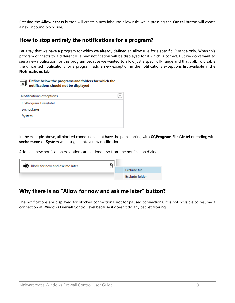Pressing the **Allow access** button will create a new inbound allow rule, while pressing the **Cancel** button will create a new inbound block rule.

### <span id="page-18-0"></span>**How to stop entirely the notifications for a program?**

Let's say that we have a program for which we already defined an allow rule for a specific IP range only. When this program connects to a different IP a new notification will be displayed for it which is correct. But we don't want to see a new notification for this program because we wanted to allow just a specific IP range and that's all. To disable the unwanted notifications for a program, add a new exception in the notifications exceptions list available in the **Notifications tab**.

#### Define below the programs and folders for which the notifications should not be displayed

| Notifications exceptions |  |
|--------------------------|--|
| C:\Program Files\Intel   |  |
| svchost.exe              |  |
| System                   |  |
|                          |  |
|                          |  |

In the example above, all blocked connections that have the path starting with **C:\Program Files\Intel** or ending with **svchost.exe** or **System** will not generate a new notification.

Adding a new notification exception can be done also from the notification dialog.

| $\Rightarrow$ Block for now and ask me later |  |  |                |
|----------------------------------------------|--|--|----------------|
|                                              |  |  | Exclude file   |
|                                              |  |  | Exclude folder |

# <span id="page-18-1"></span>**Why there is no "Allow for now and ask me later" button?**

The notifications are displayed for blocked connections, not for paused connections. It is not possible to resume a connection at Windows Firewall Control level because it doesn't do any packet filtering.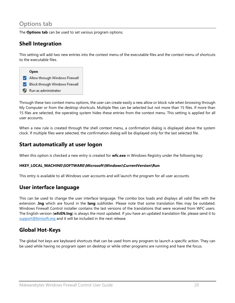# <span id="page-19-0"></span>**Options tab**

The **Options tab** can be used to set various program options.

# **Shell Integration**

This setting will add two new entries into the context menu of the executable files and the context menu of shortcuts to the executable files.



Through these two context menu options, the user can create easily a new allow or block rule when browsing through My Computer or from the desktop shortcuts. Multiple files can be selected but not more than 15 files. If more than 15 files are selected, the operating system hides these entries from the context menu. This setting is applied for all user accounts.

When a new rule is created through the shell context menu, a confirmation dialog is displayed above the system clock. If multiple files were selected, the confirmation dialog will be displayed only for the last selected file.

### **Start automatically at user logon**

When this option is checked a new entry is created for **wfc.exe** in Windows Registry under the following key:

#### **HKEY\_LOCAL\_MACHINE\SOFTWARE\Microsoft\Windows\CurrentVersion\Run**

This entry is available to all Windows user accounts and will launch the program for all user accounts.

### **User interface language**

This can be used to change the user interface language. The combo box loads and displays all valid files with the extension **.lng** which are found in the **lang** subfolder. Please note that some translation files may be outdated. Windows Firewall Control installer contains the last versions of the translations that were received from WFC users. The English version (**wfcEN.lng**) is always the most updated. If you have an updated translation file, please send it to [support@binisoft.org](mailto:support@binisoft.org) and it will be included in the next release.

### **Global Hot-Keys**

The global hot keys are keyboard shortcuts that can be used from any program to launch a specific action. They can be used while having no program open on desktop or while other programs are running and have the focus.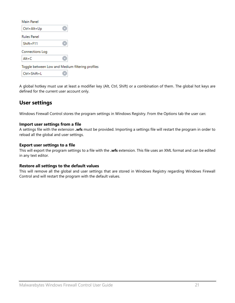| Main Panel         |                                                  |
|--------------------|--------------------------------------------------|
| Ctrl+Alt+Up        |                                                  |
| <b>Rules Panel</b> |                                                  |
| Shift+F11          |                                                  |
| Connections Log    |                                                  |
| Alt+C              |                                                  |
|                    | Toggle between Low and Medium filtering profiles |
| $Ctrl + Shift + L$ |                                                  |

A global hotkey must use at least a modifier key (Alt, Ctrl, Shift) or a combination of them. The global hot keys are defined for the current user account only.

# **User settings**

Windows Firewall Control stores the program settings in Windows Registry. From the Options tab the user can:

#### **Import user settings from a file**

A settings file with the extension **.wfs** must be provided. Importing a settings file will restart the program in order to reload all the global and user settings.

#### **Export user settings to a file**

This will export the program settings to a file with the **.wfs** extension. This file uses an XML format and can be edited in any text editor.

#### **Restore all settings to the default values**

This will remove all the global and user settings that are stored in Windows Registry regarding Windows Firewall Control and will restart the program with the default values.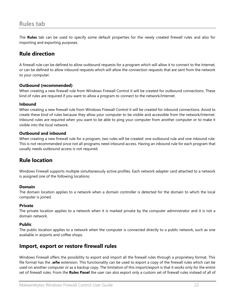<span id="page-21-0"></span>The **Rules** tab can be used to specify some default properties for the newly created firewall rules and also for importing and exporting purposes.

# **Rule direction**

A firewall rule can be defined to allow outbound requests for a program which will allow it to connect to the Internet, or can be defined to allow inbound requests which will allow the connection requests that are sent from the network to your computer.

#### **Outbound (recommended)**

When creating a new firewall rule from Windows Firewall Control it will be created for outbound connections. These kind of rules are required if you want to allow a program to connect to the network/Internet.

#### **Inbound**

When creating a new firewall rule from Windows Firewall Control it will be created for inbound connections. Avoid to create these kind of rules because they allow your computer to be visible and accessible from the network/Internet. Inbound rules are required when you want to be able to ping your computer from another computer or to make it visible into the local network.

#### **Outbound and inbound**

When creating a new firewall rule for a program, two rules will be created: one outbound rule and one inbound rule. This is not recommended since not all programs need inbound access. Having an inbound rule for each program that usually needs outbound access is not required.

### **Rule location**

Windows Firewall supports multiple simultaneously active profiles. Each network adapter card attached to a network is assigned one of the following locations:

#### **Domain**

The domain location applies to a network when a domain controller is detected for the domain to which the local computer is joined.

#### **Private**

The private location applies to a network when it is marked private by the computer administrator and it is not a domain network.

#### **Public**

The public location applies to a network when the computer is connected directly to a public network, such as one available in airports and coffee shops.

### **Import, export or restore firewall rules**

Windows Firewall offers the possibility to export and import all the firewall rules through a proprietary format. This file format has the **.wfw** extension. This functionality can be used to export a copy of the firewall rules which can be used on another computer or as a backup copy. The limitation of this import/export is that it works only for the entire set of firewall rules. From the **Rules Panel** the user can also export only a custom set of firewall rules instead of all of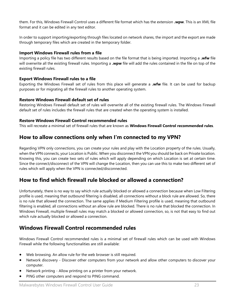them. For this, Windows Firewall Control uses a different file format which has the extension **.wpw**. This is an XML file format and it can be edited in any text editor.

In order to support importing/exporting through files located on network shares, the import and the export are made through temporary files which are created in the temporary folder.

#### **Import Windows Firewall rules from a file**

Importing a policy file has two different results based on the file format that is being imported. Importing a **.wfw** file will overwrite all the existing firewall rules. Importing a **.wpw** file will add the rules contained in the file on top of the existing firewall rules.

#### **Export Windows Firewall rules to a file**

Exporting the Windows Firewall set of rules from this place will generate a **.wfw** file. It can be used for backup purposes or for migrating all the firewall rules to another operating system.

#### **Restore Windows Firewall default set of rules**

Restoring Windows Firewall default set of rules will overwrite all of the existing firewall rules. The Windows Firewall default set of rules includes the firewall rules that are created when the operating system is installed.

#### **Restore Windows Firewall Control recommended rules**

This will recreate a minimal set of firewall rules that are known as **Windows Firewall Control recommended rules**.

### <span id="page-22-0"></span>**How to allow connections only when I'm connected to my VPN?**

Regarding VPN only connections, you can create your rules and play with the Location property of the rules. Usually, when the VPN connects, your Location is Public. When you disconnect the VPN you should be back on Private location. Knowing this, you can create two sets of rules which will apply depending on which Location is set at certain time. Since the connect/disconnect of the VPN will change the Location, then you can use this to make two different set of rules which will apply when the VPN is connected/disconnected.

### <span id="page-22-1"></span>**How to find which firewall rule blocked or allowed a connection?**

Unfortunately, there is no way to say which rule actually blocked or allowed a connection because when Low Filtering profile is used, meaning that outbound filtering is disabled, all connections without a block rule are allowed. So, there is no rule that allowed the connection. The same applies if Medium Filtering profile is used, meaning that outbound filtering is enabled, all connections without an allow rule are blocked. There is no rule that blocked the connection. In Windows Firewall, multiple firewall rules may match a blocked or allowed connection, so, is not that easy to find out which rule actually blocked or allowed a connection.

### <span id="page-22-2"></span>**Windows Firewall Control recommended rules**

Windows Firewall Control recommended rules is a minimal set of firewall rules which can be used with Windows Firewall while the following functionalities are still available:

- Web browsing. An allow rule for the web browser is still required.
- Network discovery Discover other computers from your network and allow other computers to discover your computer.
- Network printing Allow printing on a printer from your network.
- PING other computers and respond to PING command.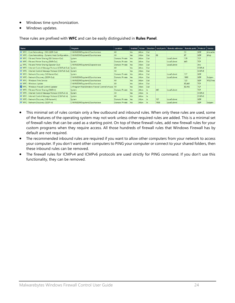- Windows time synchronization.
- Windows updates.

These rules are prefixed with **WFC** and can be easily distinguished in **Rules Panel**.

| Name                                                 | Program                                                 | Location        |            |       |            |      | Enabled   Action   Direction   Local ports   Remote addresses   Remote ports   Protocol |        |                    | Service  |
|------------------------------------------------------|---------------------------------------------------------|-----------------|------------|-------|------------|------|-----------------------------------------------------------------------------------------|--------|--------------------|----------|
| WFC - Core Networking - DNS (UDP-Out)                | C:\WINDOWS\system32\svchost.exe                         | All             | <b>Yes</b> | Allow | Out        |      |                                                                                         | 53     | <b>UDP</b>         | dnscache |
| WFC - Core Networking - Dynamic Host Configuration   | C:\WINDOWS\system32\svchost.exe                         | All             | <b>Yes</b> | Allow | Out        | 68   |                                                                                         | 67     | <b>UDP</b>         | dhcp     |
| WFC - File and Printer Sharing (NB-Session-Out)      | System                                                  | Domain, Private | <b>Yes</b> | Allow | Out        |      | LocalSubnet                                                                             | 139    | <b>TCP</b>         |          |
| WFC - File and Printer Sharing (SMB-Out)             | System                                                  | Domain, Private | <b>Yes</b> | Allow | Out        |      | LocalSubnet                                                                             | 445    | <b>TCP</b>         |          |
| WFC - File and Printer Sharing (Spooler-Out)         | C:\WINDOWS\system32\spoolsv.exe                         | Domain, Private | <b>Yes</b> | Allow | Out        |      | LocalSubnet                                                                             |        | Any                |          |
| WFC - Internet Control Message Protocol (ICMPv4-Out) | System                                                  | All             | <b>Yes</b> | Allow | Out        |      |                                                                                         |        | ICMP <sub>v4</sub> |          |
| WFC - Internet Control Message Protocol (ICMPv6-Out) | System                                                  | All             | <b>Yes</b> | Allow | Out        |      |                                                                                         |        | ICMP <sub>v6</sub> |          |
| WFC - Network Discovery (NB-Name-Out)                | System                                                  | Domain, Private | <b>Yes</b> | Allow | Out        |      | LocalSubnet                                                                             | 137    | <b>UDP</b>         |          |
| WFC - Network Discovery (SSDP-Out)                   | C:\WINDOWS\system32\svchost.exe                         | Domain, Private | <b>Yes</b> | Allow | Out        |      | LocalSubnet                                                                             | 1900   | <b>UDP</b>         | Ssdpsrv  |
| WFC - Windows Time Service                           | C:\WINDOWS\system32\svchost.exe                         | All             | <b>Yes</b> | Allow | Out        |      |                                                                                         | 123    | <b>UDP</b>         | W32Time  |
| WFC - Windows Update                                 | C:\WINDOWS\system32\svchost.exe                         | All             | <b>Yes</b> | Allow | Out        |      |                                                                                         | 80.443 | <b>TCP</b>         |          |
| <b>V</b> WFC - Windows Firewall Control Updater      | C:\Program Files\Windows Firewall Control\wfc.exe   All |                 | Yes.       | Allow | <b>Out</b> |      |                                                                                         | 80.443 | <b>TCP</b>         |          |
| WFC - File and Printer Sharing (SMB-In)              | System                                                  | Domain, Private | <b>Yes</b> | Allow | In         | 445  | LocalSubnet                                                                             |        | <b>TCP</b>         |          |
| WFC - Internet Control Message Protocol (ICMPv4-In)  | System                                                  | All             | <b>Yes</b> | Allow | In.        |      |                                                                                         |        | ICMP <sub>v4</sub> |          |
| WFC - Internet Control Message Protocol (ICMPv6-In)  | System                                                  | All             | Yes.       | Allow | In.        |      |                                                                                         |        | ICMP <sub>v6</sub> |          |
| WFC - Network Discovery (NB-Name-In)                 | System                                                  | Domain, Private | Yes        | Allow | In         | 137  | LocalSubnet                                                                             |        | <b>UDP</b>         |          |
| WFC - Network Discovery (SSDP-In)                    | C:\WINDOWS\system32\svchost.exe                         | Domain, Private | Yes.       | Allow | In         | 1900 | LocalSubnet                                                                             |        | <b>UDP</b>         | Ssdpsrv  |

- This minimal set of rules contain only a few outbound and inbound rules. When only these rules are used, some of the features of the operating system may not work unless other required rules are added. This is a minimal set of firewall rules that can be used as a starting point. On top of these firewall rules, add new firewall rules for your custom programs when they require access. All those hundreds of firewall rules that Windows Firewall has by default are not required.
- The recommended inbound rules are required if you want to allow other computers from your network to access your computer. If you don't want other computers to PING your computer or connect to your shared folders, then these inbound rules can be removed.
- The firewall rules for ICMPv4 and ICMPv6 protocols are used strictly for PING command. If you don't use this functionality, they can be removed.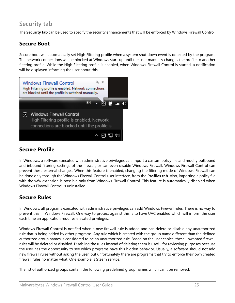# <span id="page-24-0"></span>**Security tab**

The **Security tab** can be used to specify the security enhancements that will be enforced by Windows Firewall Control.

# **Secure Boot**

Secure boot will automatically set High Filtering profile when a system shut down event is detected by the program. The network connections will be blocked at Windows start-up until the user manually changes the profile to another filtering profile. While the High Filtering profile is enabled, when Windows Firewall Control is started, a notification will be displayed informing the user about this.



# **Secure Profile**

In Windows, a software executed with administrative privileges can import a custom policy file and modify outbound and inbound filtering settings of the firewall, or can even disable Windows Firewall. Windows Firewall Control can prevent these external changes. When this feature is enabled, changing the filtering mode of Windows Firewall can be done only through the Windows Firewall Control user interface, from the **Profiles tab**. Also, importing a policy file with the wfw extension is possible only from Windows Firewall Control. This feature is automatically disabled when Windows Firewall Control is uninstalled.

# **Secure Rules**

In Windows, all programs executed with administrative privileges can add Windows Firewall rules. There is no way to prevent this in Windows Firewall. One way to protect against this is to have UAC enabled which will inform the user each time an application requires elevated privileges.

Windows Firewall Control is notified when a new firewall rule is added and can delete or disable any unauthorized rule that is being added by other programs. Any rule which is created with the group name different than the defined authorized group names is considered to be an unauthorized rule. Based on the user choice, these unwanted firewall rules will be deleted or disabled. Disabling the rules instead of deleting them is useful for reviewing purposes because the user has the opportunity to see which programs have this hidden behavior. Usually, a software should not add new firewall rules without asking the user, but unfortunately there are programs that try to enforce their own created firewall rules no matter what. One example is Steam service.

The list of authorized groups contain the following predefined group names which can't be removed: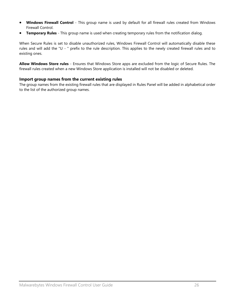- **Windows Firewall Control** This group name is used by default for all firewall rules created from Windows Firewall Control.
- **Temporary Rules** This group name is used when creating temporary rules from the notification dialog.

When Secure Rules is set to disable unauthorized rules, Windows Firewall Control will automatically disable these rules and will add the "U - " prefix to the rule description. This applies to the newly created firewall rules and to existing ones.

**Allow Windows Store rules** - Ensures that Windows Store apps are excluded from the logic of Secure Rules. The firewall rules created when a new Windows Store application is installed will not be disabled or deleted.

#### **Import group names from the current existing rules**

The group names from the existing firewall rules that are displayed in Rules Panel will be added in alphabetical order to the list of the authorized group names.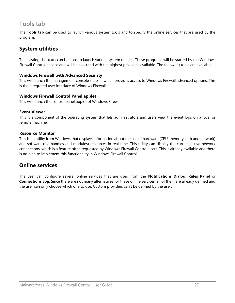# <span id="page-26-0"></span>**Tools tab**

The **Tools tab** can be used to launch various system tools and to specify the online services that are used by the program.

# **System utilities**

The existing shortcuts can be used to launch various system utilities. These programs will be started by the Windows Firewall Control service and will be executed with the highest privileges available. The following tools are available:

#### **Windows Firewall with Advanced Security**

This will launch the management console snap-in which provides access to Windows Firewall advanced options. This is the integrated user interface of Windows Firewall.

#### **Windows Firewall Control Panel applet**

This will launch the control panel applet of Windows Firewall.

#### **Event Viewer**

This is a component of the operating system that lets administrators and users view the event logs on a local or remote machine.

#### **Resource Monitor**

This is an utility from Windows that displays information about the use of hardware (CPU, memory, disk and network) and software (file handles and modules) resources in real time. This utility can display the current active network connections, which is a feature often requested by Windows Firewall Control users. This is already available and there is no plan to implement this functionality in Windows Firewall Control.

### **Online services**

The user can configure several online services that are used from the **Notifications Dialog**, **Rules Panel** or **Connections Log**. Since there are not many alternatives for these online services, all of them are already defined and the user can only choose which one to use. Custom providers can't be defined by the user.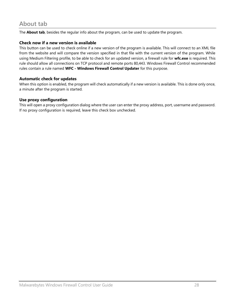<span id="page-27-0"></span>The **About tab**, besides the regular info about the program, can be used to update the program.

#### **Check now if a new version is available**

This button can be used to check online if a new version of the program is available. This will connect to an XML file from the website and will compare the version specified in that file with the current version of the program. While using Medium Filtering profile, to be able to check for an updated version, a firewall rule for **wfc.exe** is required. This rule should allow all connections on TCP protocol and remote ports 80,443. Windows Firewall Control recommended rules contain a rule named **WFC - Windows Firewall Control Updater** for this purpose.

#### **Automatic check for updates**

When this option is enabled, the program will check automatically if a new version is available. This is done only once, a minute after the program is started.

#### **Use proxy configuration**

This will open a proxy configuration dialog where the user can enter the proxy address, port, username and password. If no proxy configuration is required, leave this check box unchecked.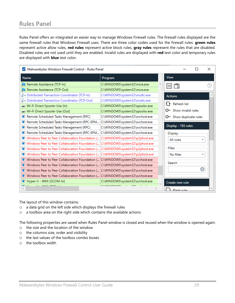# <span id="page-28-0"></span>**Rules Panel**

Rules Panel offers an integrated an easier way to manage Windows Firewall rules. The firewall rules displayed are the same firewall rules that Windows Firewall uses. There are three color codes used for the firewall rules: **green rules** represent active allow rules, **red rules** represent active block rules, **gray rules** represent the rules that are disabled. Disabled rules are not used until they are enabled. Invalid rules are displayed with **red** text color and temporary rules are displayed with **blue** text color.

| Malwarebytes Windows Firewall Control - Rules Panel                             |                                 | ×                            |  |
|---------------------------------------------------------------------------------|---------------------------------|------------------------------|--|
| <b>Name</b>                                                                     | Program                         | <b>View</b>                  |  |
| Remote Assistance (TCP-In)                                                      | C:\WINDOWS\system32\msra.exe    | 回筒                           |  |
| Remote Assistance (TCP-Out)                                                     | C:\WINDOWS\system32\msra.exe    |                              |  |
| <b>B</b> Distributed Transaction Coordinator (TCP-In)                           | C:\WINDOWS\system32\msdtc.exe   | <b>Actions</b>               |  |
| <b>B</b> Distributed Transaction Coordinator (TCP-Out)                          | C:\WINDOWS\system32\msdtc.exe   |                              |  |
| Wi-Fi Direct Spooler Use (In)                                                   | C:\WINDOWS\system32\spoolsv.exe | $\overline{+1}$ Refresh list |  |
| Wi-Fi Direct Spooler Use (Out)                                                  | C:\WINDOWS\system32\spoolsv.exe | O-Show invalid rules         |  |
| Remote Scheduled Tasks Management (RPC)                                         | C:\WINDOWS\system32\svchost.exe | O- Show duplicate rules      |  |
| Remote Scheduled Tasks Management (RPC-EPM C:\WINDOWS\system32\svchost.exe      |                                 |                              |  |
| Remote Scheduled Tasks Management (RPC)                                         | C:\WINDOWS\system32\svchost.exe | Display - 193 rules          |  |
| Remote Scheduled Tasks Management (RPC-EPM C:\WINDOWS\system32\svchost.exe      |                                 | Display                      |  |
| Windows Peer to Peer Collaboration Foundation ( C:\WINDOWS\system32\p2phost.exe |                                 | All rules<br>▼               |  |
| Windows Peer to Peer Collaboration Foundation ( C:\WINDOWS\system32\p2phost.exe |                                 |                              |  |
| Windows Peer to Peer Collaboration Foundation ( C:\WINDOWS\system32\p2phost.exe |                                 | Filter                       |  |
| Windows Peer to Peer Collaboration Foundation ( C:\WINDOWS\system32\p2phost.exe |                                 | No filter<br>v               |  |
| Windows Peer to Peer Collaboration Foundation ( C:\WINDOWS\system32\svchost.exe |                                 |                              |  |
| Windows Peer to Peer Collaboration Foundation ( C:\WINDOWS\system32\svchost.exe |                                 | Search                       |  |
| Windows Peer to Peer Collaboration Foundation ( C:\WINDOWS\system32\svchost.exe |                                 | B                            |  |
| Windows Peer to Peer Collaboration Foundation ( C:\WINDOWS\system32\svchost.exe |                                 |                              |  |
| Hyper-V - WMI (DCOM-In)                                                         | C:\WINDOWS\system32\svchost.exe | Create new rule              |  |
| <b>M. MARINTON LA</b><br><b>Section</b>                                         | CONTRACTOR AND ALLEN.           | <b>Rlank rule</b>            |  |

The layout of this window contains:

- o a data grid on the left side which displays the firewall rules
- o a toolbox area on the right side which contains the available actions

The following properties are saved when Rules Panel window is closed and reused when the window is opened again:

- o the size and the location of the window
- o the columns size, order and visibility
- o the last values of the toolbox combo boxes
- o the toolbox width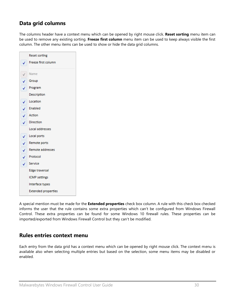# **Data grid columns**

The columns header have a context menu which can be opened by right mouse click. **Reset sorting** menu item can be used to remove any existing sorting. **Freeze first column** menu item can be used to keep always visible the first column. The other menu items can be used to show or hide the data grid columns.

|              | <b>Reset sorting</b>       |
|--------------|----------------------------|
| $\sqrt{ }$   | Freeze first column        |
|              | Name                       |
|              | $\checkmark$ Group         |
|              | Program                    |
|              | Description                |
| √            | Location                   |
| $\checkmark$ | Enabled                    |
| V            | Action                     |
| ✓            | Direction                  |
|              | Local addresses            |
| ✓            | Local ports                |
| √∣           | Remote ports               |
| V            | Remote addresses           |
| $\checkmark$ | Protocol                   |
| $\checkmark$ | Service                    |
|              | Edge traversal             |
|              | <b>ICMP</b> settings       |
|              | Interface types            |
|              | <b>Extended properties</b> |

A special mention must be made for the **Extended properties** check box column. A rule with this check box checked informs the user that the rule contains some extra properties which can't be configured from Windows Firewall Control. These extra properties can be found for some Windows 10 firewall rules. These properties can be imported/exported from Windows Firewall Control but they can't be modified.

### **Rules entries context menu**

Each entry from the data grid has a context menu which can be opened by right mouse click. The context menu is available also when selecting multiple entries but based on the selection, some menu items may be disabled or enabled.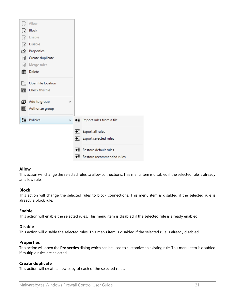

#### **Allow**

This action will change the selected rules to allow connections. This menu item is disabled if the selected rule is already an allow rule.

#### **Block**

This action will change the selected rules to block connections. This menu item is disabled if the selected rule is already a block rule.

#### **Enable**

This action will enable the selected rules. This menu item is disabled if the selected rule is already enabled.

#### **Disable**

This action will disable the selected rules. This menu item is disabled if the selected rule is already disabled.

#### **Properties**

This action will open the **Properties** dialog which can be used to customize an existing rule. This menu item is disabled if multiple rules are selected.

#### **Create duplicate**

This action will create a new copy of each of the selected rules.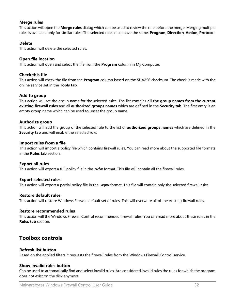#### **Merge rules**

This action will open the **Merge rules** dialog which can be used to review the rule before the merge. Merging multiple rules is available only for similar rules. The selected rules must have the same: **Program**, **Direction**, **Action**, **Protocol**.

#### **Delete**

This action will delete the selected rules.

#### **Open file location**

This action will open and select the file from the **Program** column in My Computer.

#### **Check this file**

This action will check the file from the **Program** column based on the SHA256 checksum. The check is made with the online service set in the **Tools tab**.

#### **Add to group**

This action will set the group name for the selected rules. The list contains **all the group names from the current existing firewall rules** and all **authorized groups names** which are defined in the **Security tab**. The first entry is an empty group name which can be used to unset the group name.

#### **Authorize group**

This action will add the group of the selected rule to the list of **authorized groups names** which are defined in the **Security tab** and will enable the selected rule.

#### **Import rules from a file**

This action will import a policy file which contains firewall rules. You can read more about the supported file formats in the **Rules tab** section.

#### **Export all rules**

This action will export a full policy file in the **.wfw** format. This file will contain all the firewall rules.

#### **Export selected rules**

This action will export a partial policy file in the **.wpw** format. This file will contain only the selected firewall rules.

#### **Restore default rules**

This action will restore Windows Firewall default set of rules. This will overwrite all of the existing firewall rules.

#### **Restore recommended rules**

This action will the Windows Firewall Control recommended firewall rules. You can read more about these rules in the **Rules tab** section.

### **Toolbox controls**

#### **Refresh list button**

Based on the applied filters it requests the firewall rules from the Windows Firewall Control service.

#### **Show invalid rules button**

Can be used to automatically find and select invalid rules. Are considered invalid rules the rules for which the program does not exist on the disk anymore.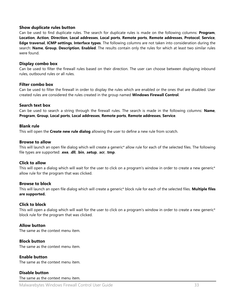#### **Show duplicate rules button**

Can be used to find duplicate rules. The search for duplicate rules is made on the following columns: **Program**, **Location**, **Action**, **Direction**, **Local addresses**, **Local ports**, **Remote ports**, **Remote addresses**, **Protocol**, **Service**, **Edge traversal**, **ICMP settings**, **Interface types**. The following columns are not taken into consideration during the search: **Name**, **Group**, **Description**, **Enabled**. The results contain only the rules for which at least two similar rules were found.

#### **Display combo box**

Can be used to filter the firewall rules based on their direction. The user can choose between displaying inbound rules, outbound rules or all rules.

#### **Filter combo box**

Can be used to filter the firewall in order to display the rules which are enabled or the ones that are disabled. User created rules are considered the rules created in the group named **Windows Firewall Control**.

#### **Search text box**

Can be used to search a string through the firewall rules. The search is made in the following columns: **Name**, **Program**, **Group**, **Local ports**, **Local addresses**, **Remote ports**, **Remote addresses**, **Service**.

#### **Blank rule**

This will open the **Create new rule dialog** allowing the user to define a new rule from scratch.

#### **Browse to allow**

This will launch an open file dialog which will create a generic\* allow rule for each of the selected files. The following file types are supported: .**exe**, .**dll**, .**bin**, .**setup**, .**scr**, .**tmp**.

#### **Click to allow**

This will open a dialog which will wait for the user to click on a program's window in order to create a new generic\* allow rule for the program that was clicked.

#### **Browse to block**

This will launch an open file dialog which will create a generic\* block rule for each of the selected files. **Multiple files are supported.**

#### **Click to block**

This will open a dialog which will wait for the user to click on a program's window in order to create a new generic\* block rule for the program that was clicked.

#### **Allow button**

The same as the context menu item.

#### **Block button**

The same as the context menu item.

#### **Enable button**

The same as the context menu item.

#### **Disable button**

The same as the context menu item.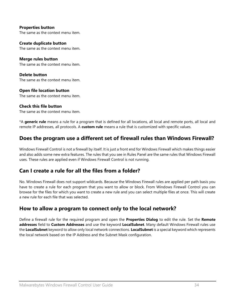**Properties button** The same as the context menu item.

**Create duplicate button** The same as the context menu item.

**Merge rules button** The same as the context menu item.

**Delete button** The same as the context menu item.

#### **Open file location button** The same as the context menu item.

### **Check this file button**

The same as the context menu item.

\*A **generic rule** means a rule for a program that is defined for all locations, all local and remote ports, all local and remote IP addresses, all protocols. A **custom rule** means a rule that is customized with specific values.

# <span id="page-33-0"></span>**Does the program use a different set of firewall rules than Windows Firewall?**

Windows Firewall Control is not a firewall by itself. It is just a front end for Windows Firewall which makes things easier and also adds some new extra features. The rules that you see in Rules Panel are the same rules that Windows Firewall uses. These rules are applied even if Windows Firewall Control is not running.

# <span id="page-33-1"></span>**Can I create a rule for all the files from a folder?**

No. Windows Firewall does not support wildcards. Because the Windows Firewall rules are applied per path basis you have to create a rule for each program that you want to allow or block. From Windows Firewall Control you can browse for the files for which you want to create a new rule and you can select multiple files at once. This will create a new rule for each file that was selected.

# <span id="page-33-2"></span>**How to allow a program to connect only to the local network?**

Define a firewall rule for the required program and open the **Properties Dialog** to edit the rule. Set the **Remote addresses** field to **Custom Addresses** and use the keyword **LocalSubnet**. Many default Windows Firewall rules use the **LocalSubnet** keyword to allow only local network connections. **LocalSubnet** is a special keyword which represents the local network based on the IP Address and the Subnet Mask configuration.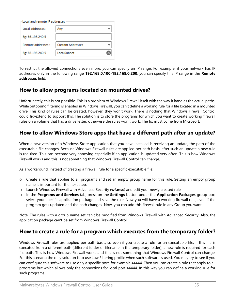| Local and remote IP addresses |                         |  |
|-------------------------------|-------------------------|--|
| Local addresses :             | Anv                     |  |
| Eg: 66.198.240.5              |                         |  |
| Remote addresses :            | <b>Custom Addresses</b> |  |
| Eg: 66.198.240.5              | LocalSubnet             |  |
|                               |                         |  |

To restrict the allowed connections even more, you can specify an IP range. For example, if your network has IP addresses only in the following range **192.168.0.100-192.168.0.200**, you can specify this IP range in the **Remote addresses** field.

### <span id="page-34-0"></span>**How to allow programs located on mounted drives?**

Unfortunately, this is not possible. This is a problem of Windows Firewall itself with the way it handles the actual paths. While outbound filtering is enabled in Windows Firewall, you can't define a working rule for a file located in a mounted drive. This kind of rules can be created, however, they won't work. There is nothing that Windows Firewall Control could fix/extend to support this. The solution is to store the programs for which you want to create working firewall rules on a volume that has a drive letter, otherwise the rules won't work. The fix must come from Microsoft.

### <span id="page-34-1"></span>**How to allow Windows Store apps that have a different path after an update?**

When a new version of a Windows Store application that you have installed is receiving an update, the path of the executable file changes. Because Windows Firewall rules are applied per path basis, after such an update a new rule is required. This can become very annoying especially if an application is updated very often. This is how Windows Firewall works and this is not something that Windows Firewall Control can change.

As a workaround, instead of creating a firewall rule for a specific executable file:

- o Create a rule that applies to all programs and set an empty group name for this rule. Setting an empty group name is important for the next step.
- o Launch Windows Firewall with Advanced Security (**wf.msc**) and edit your newly created rule.
- o In the **Programs and Services** tab, press on the **Settings** button under the **Application Packages** group box, select your specific application package and save the rule. Now you will have a working firewall rule, even if the program gets updated and the path changes. Now, you can add this firewall rule in any Group you want.

Note: The rules with a group name set can't be modified from Windows Firewall with Advanced Security. Also, the application package can't be set from Windows Firewall Control.

# <span id="page-34-2"></span>**How to create a rule for a program which executes from the temporary folder?**

Windows Firewall rules are applied per path basis, so even if you create a rule for an executable file, if this file is executed from a different path (different folder or filename in the temporary folder), a new rule is required for each file path. This is how Windows Firewall works and this is not something that Windows Firewall Control can change. For this scenario the only solution is to use Low Filtering profile when such software is used. You may try to see if you can configure this software to use only a specific port, for example 44444. Then you can create a rule that apply to all programs but which allows only the connections for local port 44444. In this way you can define a working rule for such programs.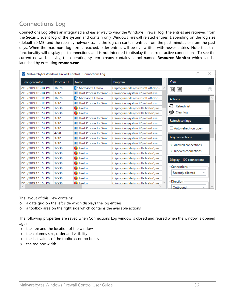# <span id="page-35-0"></span>**Connections Log**

Connections Log offers an integrated and easier way to view the Windows Firewall log. The entries are retrieved from the Security event log of the system and contain only Windows Firewall related entries. Depending on the log size (default 20 MB) and the recently network traffic the log can contain entries from the past minutes or from the past days. When the maximum log size is reached, older entries will be overwritten with newer entries. Note that this functionality will display past connections and is not intended to display the current active connections. To see the current network activity, the operating system already contains a tool named **Resource Monitor** which can be launched by executing **resmon.exe**.

| ◡                    |            | Malwarebytes Windows Firewall Control - Connections Log |                                                       |                               |                         | × |
|----------------------|------------|---------------------------------------------------------|-------------------------------------------------------|-------------------------------|-------------------------|---|
| Time generated       | Process ID | <b>Name</b>                                             | Program                                               | <b>View</b>                   |                         |   |
| 2/18/2019 1:19:04 PM | 16076      | <b>D</b> <sup>2</sup> Microsoft Outlook                 | C:\program files\microsoft office\r                   | 旨<br>$  \cdot  $              |                         |   |
| 2/18/2019 1:19:04 PM | 3712       | Host Process for Wind                                   | C:\windows\system32\svchost.exe                       |                               |                         |   |
| 2/18/2019 1:19:03 PM | 16076      | <b>O</b> <sup>2</sup> Microsoft Outlook                 | C:\program files\microsoft office\r                   | <b>Actions</b>                |                         |   |
| 2/18/2019 1:19:03 PM | 3712       | Host Process for Wind                                   | C:\windows\system32\svchost.exe                       |                               |                         |   |
| 2/18/2019 1:18:57 PM | 12936      | $\bullet$ Firefox                                       | C:\program files\mozilla firefox\fire                 | └ Refresh list                |                         |   |
| 2/18/2019 1:18:57 PM | 12936      | $\bullet$ Firefox                                       | C:\program files\mozilla firefox\fire                 | <b>氚</b> Clear log            |                         |   |
| 2/18/2019 1:18:57 PM | 3712       |                                                         | Host Process for Wind C:\windows\system32\svchost.exe |                               |                         |   |
| 2/18/2019 1:18:57 PM | 3712       |                                                         | Host Process for Wind C:\windows\system32\svchost.exe | Refresh settings              |                         |   |
| 2/18/2019 1:18:57 PM | 3712       |                                                         | Host Process for Wind C:\windows\system32\svchost.exe | Auto refresh on open          |                         |   |
| 2/18/2019 1:18:57 PM | 4228       |                                                         | Host Process for Wind C:\windows\system32\svchost.exe |                               |                         |   |
| 2/18/2019 1:18:56 PM | 3712       |                                                         | Host Process for Wind C:\windows\system32\svchost.exe | Log connections               |                         |   |
| 2/18/2019 1:18:56 PM | 3712       |                                                         | Host Process for Wind C:\windows\system32\svchost.exe | $\sqrt{}$ Allowed connections |                         |   |
| 2/18/2019 1:18:56 PM | 12936      | $\bullet$ Firefox                                       | C:\program files\mozilla firefox\fire                 |                               |                         |   |
| 2/18/2019 1:18:56 PM | 12936      | $\bullet$ Firefox                                       | C:\program files\mozilla firefox\fire                 | $\vee$ Blocked connections    |                         |   |
| 2/18/2019 1:18:56 PM | 12936      | <b>E</b> Firefox                                        | C:\program files\mozilla firefox\fire                 | Display - 100 connections     |                         |   |
| 2/18/2019 1:18:56 PM | 12936      | <b>E</b> Firefox                                        | C:\program files\mozilla firefox\fire                 |                               |                         |   |
| 2/18/2019 1:18:56 PM | 12936      | ٠<br>Firefox                                            | C:\program files\mozilla firefox\fire                 | Connections                   |                         |   |
| 2/18/2019 1:18:56 PM | 12936      | $\bullet$ Firefox                                       | C:\program files\mozilla firefox\fire                 | Recently allowed              | $\overline{\mathbf{v}}$ |   |
| 2/18/2019 1:18:56 PM | 12936      | $\bullet$ Firefox                                       | C:\program files\mozilla firefox\fire                 |                               |                         |   |
| 2/18/2019 1:18:56 PM | 12936      | <b>E</b> Firefox                                        | C:\program files\mozilla firefox\fire                 | Direction                     |                         |   |
|                      |            |                                                         |                                                       | Outbound                      | $\overline{\mathbf{v}}$ |   |

The layout of this view contains:

- o a data grid on the left side which displays the log entries
- o a toolbox area on the right side which contains the available actions

The following properties are saved when Connections Log window is closed and reused when the window is opened again:

- o the size and the location of the window
- o the columns size, order and visibility
- o the last values of the toolbox combo boxes
- o the toolbox width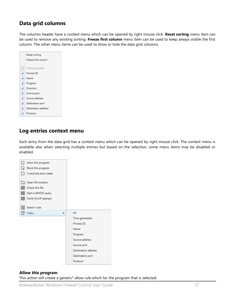# **Data grid columns**

The columns header have a context menu which can be opened by right mouse click. **Reset sorting** menu item can be used to remove any existing sorting. **Freeze first column** menu item can be used to keep always visible the first column. The other menu items can be used to show or hide the data grid columns.

|   | Reset sorting              |
|---|----------------------------|
|   | Freeze first column        |
|   | Time generated             |
| ✓ | Process ID                 |
| ✓ | Name                       |
| ✓ | Program                    |
| ✓ | Direction                  |
| ✓ | Source port                |
| ✓ | Source address             |
| ✓ | Destination port           |
| ✓ | <b>Destination address</b> |
|   | Protocol                   |

### **Log entries context menu**

Each entry from the data grid has a context menu which can be opened by right mouse click. The context menu is available also when selecting multiple entries but based on the selection, some menu items may be disabled or enabled.



#### **Allow this program**

This action will create a generic\* allow rule which for the program that is selected.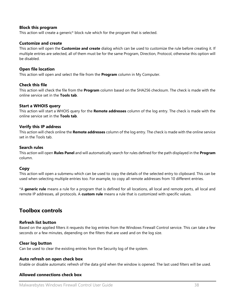#### **Block this program**

This action will create a generic\* block rule which for the program that is selected.

#### **Customize and create**

This action will open the **Customize and create** dialog which can be used to customize the rule before creating it. If multiple entries are selected, all of them must be for the same Program, Direction, Protocol, otherwise this option will be disabled.

#### **Open file location**

This action will open and select the file from the **Program** column in My Computer.

#### **Check this file**

This action will check the file from the **Program** column based on the SHA256 checksum. The check is made with the online service set in the **Tools tab**.

#### **Start a WHOIS query**

This action will start a WHOIS query for the **Remote addresses** column of the log entry. The check is made with the online service set in the **Tools tab**.

#### **Verify this IP address**

This action will check online the **Remote addresses** column of the log entry. The check is made with the online service set in the Tools tab.

#### **Search rules**

This action will open **Rules Panel** and will automatically search for rules defined for the path displayed in the **Program** column.

#### **Copy**

This action will open a submenu which can be used to copy the details of the selected entry to clipboard. This can be used when selecting multiple entries too. For example, to copy all remote addresses from 10 different entries.

\*A **generic rule** means a rule for a program that is defined for all locations, all local and remote ports, all local and remote IP addresses, all protocols. A **custom rule** means a rule that is customized with specific values.

### **Toolbox controls**

#### **Refresh list button**

Based on the applied filters it requests the log entries from the Windows Firewall Control service. This can take a few seconds or a few minutes, depending on the filters that are used and on the log size.

#### **Clear log button**

Can be used to clear the existing entries from the Security log of the system.

#### **Auto refresh on open check box**

Enable or disable automatic refresh of the data grid when the window is opened. The last used filters will be used.

#### **Allowed connections check box**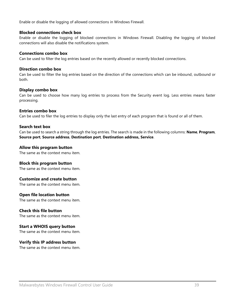Enable or disable the logging of allowed connections in Windows Firewall.

#### **Blocked connections check box**

Enable or disable the logging of blocked connections in Windows Firewall. Disabling the logging of blocked connections will also disable the notifications system.

#### **Connections combo box**

Can be used to filter the log entries based on the recently allowed or recently blocked connections.

#### **Direction combo box**

Can be used to filter the log entries based on the direction of the connections which can be inbound, outbound or both.

#### **Display combo box**

Can be used to choose how many log entries to process from the Security event log. Less entries means faster processing.

#### **Entries combo box**

Can be used to filer the log entries to display only the last entry of each program that is found or all of them.

#### **Search text box**

Can be used to search a string through the log entries. The search is made in the following columns: **Name**, **Program**, **Source port**, **Source address**, **Destination port**, **Destination address, Service**.

#### **Allow this program button**

The same as the context menu item.

#### **Block this program button**

The same as the context menu item.

#### **Customize and create button**

The same as the context menu item.

#### **Open file location button**

The same as the context menu item.

#### **Check this file button**

The same as the context menu item.

#### **Start a WHOIS query button**

The same as the context menu item.

#### **Verify this IP address button**

The same as the context menu item.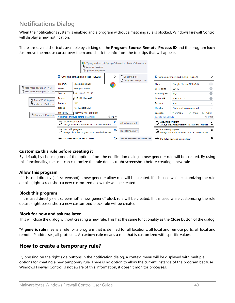# <span id="page-39-0"></span>**Notifications Dialog**

When the notifications system is enabled and a program without a matching rule is blocked, Windows Firewall Control will display a new notification.

There are several shortcuts available by clicking on the **Program**, **Source**, **Remote**, **Process ID** and the program **Icon**. Just move the mouse cursor over them and check the info from the tool tips that will appear.



#### **Customize this rule before creating it**

By default, by choosing one of the options from the notification dialog, a new generic\* rule will be created. By using this functionality, the user can customize the rule details (right screenshot) before creating a new rule.

#### **Allow this program**

If it is used directly (left screenshot) a new generic<sup>\*</sup> allow rule will be created. If it is used while customizing the rule details (right screenshot) a new customized allow rule will be created.

#### **Block this program**

If it is used directly (left screenshot) a new generic\* block rule will be created. If it is used while customizing the rule details (right screenshot) a new customized block rule will be created.

#### **Block for now and ask me later**

This will close the dialog without creating a new rule. This has the same functionality as the **Close** button of the dialog.

\*A **generic rule** means a rule for a program that is defined for all locations, all local and remote ports, all local and remote IP addresses, all protocols. A **custom rule** means a rule that is customized with specific values.

### <span id="page-39-1"></span>**How to create a temporary rule?**

By pressing on the right side buttons in the notification dialog, a context menu will be displayed with multiple options for creating a new temporary rule. There is no option to allow the current instance of the program because Windows Firewall Control is not aware of this information, it doesn't monitor processes.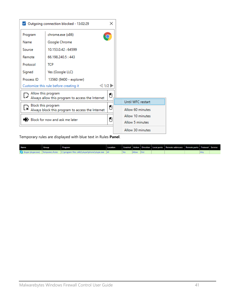|            | Outgoing connection blocked - 13:02:29                                 |                 |                   |  |
|------------|------------------------------------------------------------------------|-----------------|-------------------|--|
| Program    | chrome.exe (x86)                                                       |                 |                   |  |
| Name       | Google Chrome                                                          |                 |                   |  |
| Source     | 10.153.0.42:64599                                                      |                 |                   |  |
| Remote     | 66.198.240.5:443                                                       |                 |                   |  |
| Protocol   | <b>TCP</b>                                                             |                 |                   |  |
| Signed     | Yes (Google LLC)                                                       |                 |                   |  |
| Process ID | 13560 (9400 - explorer)                                                |                 |                   |  |
|            | $<$ 1/2<br>Customize this rule before creating it                      |                 |                   |  |
|            | Allow this program<br>Always allow this program to access the Internet | 8               |                   |  |
|            | Block this program                                                     |                 | Until WFC restart |  |
|            | Always block this program to access the Internet                       | 8               | Allow 60 minutes  |  |
|            | Block for now and ask me later                                         | 8               | Allow 10 minutes  |  |
|            |                                                                        | Allow 5 minutes |                   |  |
|            |                                                                        |                 | Allow 30 minutes  |  |

Temporary rules are displayed with blue text in Rules **Panel**.

| <b>Name</b> | Group | Program                                                                                  | Location |  |  | Enabled   Action   Direction   Local ports   Remote addresses   Remote ports   Protocol   Service |  |  |
|-------------|-------|------------------------------------------------------------------------------------------|----------|--|--|---------------------------------------------------------------------------------------------------|--|--|
|             |       | S Skype (skype.exe) Temporary Rules   C:\program files (x86)\skype\phone\skype.exe   All |          |  |  |                                                                                                   |  |  |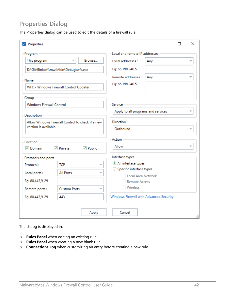# <span id="page-41-0"></span>**Properties Dialog**

The Properties dialog can be used to edit the details of a firewall rule.

| $\triangledown$ Properties                                                |                                        |               |                                         |     | П | $\times$ |
|---------------------------------------------------------------------------|----------------------------------------|---------------|-----------------------------------------|-----|---|----------|
| Program                                                                   |                                        |               | Local and remote IP addresses           |     |   |          |
| This program                                                              | $\overline{\phantom{a}}$               | Browse        | Local addresses :                       | Any |   |          |
|                                                                           | D:\Git\Binisoft\mwfc\bin\Debug\wfc.exe |               | Eg: 66.198.240.5                        |     |   |          |
| Name<br>WFC - Windows Firewall Control Updater                            |                                        |               | Remote addresses:<br>Eg: 66.198.240.5   | Any |   |          |
| Group                                                                     |                                        |               |                                         |     |   |          |
| <b>Windows Firewall Control</b>                                           |                                        |               | Service                                 |     |   |          |
| Description                                                               |                                        |               | Apply to all programs and services      |     |   |          |
| Allow Windows Firewall Control to check if a new<br>version is available. |                                        |               | <b>Direction</b><br>Outbound            |     |   |          |
| Location                                                                  |                                        |               | <b>Action</b>                           |     |   |          |
| √ Domain                                                                  | $\vee$ Private                         | $\vee$ Public | <b>Allow</b>                            |     |   |          |
| Protocols and ports                                                       |                                        |               | Interface types                         |     |   |          |
| Protocol:                                                                 | <b>TCP</b>                             |               | All interface types                     |     |   |          |
| Local ports:                                                              | <b>All Ports</b>                       |               | $\bigcirc$ Specific interface types     |     |   |          |
| Eg: 80,443,9-29                                                           |                                        |               | Local Area Network                      |     |   |          |
|                                                                           | <b>Custom Ports</b>                    | v             | <b>Remote Access</b><br>Wireless        |     |   |          |
| Remote ports:                                                             |                                        |               |                                         |     |   |          |
| Eg: 80,443,9-29                                                           | 443                                    |               | Windows Firewall with Advanced Security |     |   |          |
|                                                                           |                                        | Apply         | Cancel                                  |     |   |          |

The dialog is displayed in:

- o **Rules Panel** when editing an existing rule
- o **Rules Panel** when creating a new blank rule
- o **Connections Log** when customizing an entry before creating a new rule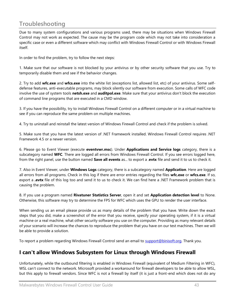# <span id="page-42-0"></span>**Troubleshooting**

Due to many system configurations and various programs used, there may be situations when Windows Firewall Control may not work as expected. The cause may be the program code which may not take into consideration a specific case or even a different software which may conflict with Windows Firewall Control or with Windows Firewall itself.

In order to find the problem, try to follow the next steps:

1. Make sure that our software is not blocked by your antivirus or by other security software that you use. Try to temporarily disable them and see if the behavior changes.

2. Try to add **wfc.exe** and **wfcs.exe** into the white list (exceptions list, allowed list, etc) of your antivirus. Some selfdefense features, anti-executable programs, may block silently our software from execution. Some calls of WFC code involve the use of system tools **netsh.exe** and **auditpol.exe**. Make sure that your antivirus don't block the execution of command line programs that are executed in a CMD window.

3. If you have the possibility, try to install Windows Firewall Control on a different computer or in a virtual machine to see if you can reproduce the same problem on multiple machines.

4. Try to uninstall and reinstall the latest version of Windows Firewall Control and check if the problem is solved.

5. Make sure that you have the latest version of .NET Framework installed. Windows Firewall Control requires .NET Framework 4.5 or a newer version.

6. Please go to Event Viewer (execute **eventvwr.msc**). Under **Applications and Service logs** category, there is a subcategory named **WFC**. There are logged all errors from Windows Firewall Control. If you see errors logged here, from the right panel, use the button named **Save all events** as... to export a .**evtx** file and send it to us to check it.

7. Also in Event Viewer, under **Windows Logs** category, there is a subcategory named **Application**. Here are logged all errors from all programs. Check in this log if there are error entries regarding the files **wfc.exe** or **wfcs.exe**. If so, export a **.evtx** file of this log too and send it to us to check it. We can find here a .NET Framework problem that is causing the problem.

8. If you use a program named **Rivatuner Statistics Server**, open it and set **Application detection level** to None. Otherwise, this software may try to determine the FPS for WFC which uses the GPU to render the user interface.

When sending us an email please provide us as many details of the problem that you have. Write down the exact steps that you did, make a screenshot of the error that you receive, specify your operating system, if it is a virtual machine or a real machine, what other security software you use on the computer. Providing as many relevant details of your scenario will increase the chances to reproduce the problem that you have on our test machines. Then we will be able to provide a solution.

To report a problem regarding Windows Firewall Control send an email to [support@binisoft.org.](mailto:support@binisoft.org) Thank you.

# <span id="page-42-1"></span>**I can't allow Windows Subsystem for Linux through Windows Firewall**

Unfortunately, while the outbound filtering is enabled in Windows Firewall (equivalent of Medium Filtering in WFC), WSL can't connect to the network. Microsoft provided a workaround for firewall developers to be able to allow WSL, but this apply to firewall vendors. Since WFC is not a firewall by itself (it is just a front-end which does not do any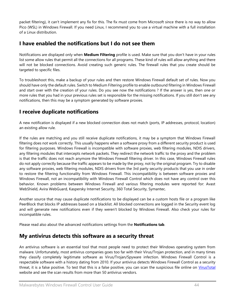packet filtering), it can't implement any fix for this. The fix must come from Microsoft since there is no way to allow Pico (WSL) in Windows Firewall. If you need Linux, I recommend you to use a virtual machine with a full installation of a Linux distribution.

## <span id="page-43-0"></span>**I have enabled the notifications but I do not see them**

Notifications are displayed only when **Medium Filtering** profile is used. Make sure that you don't have in your rules list some allow rules that permit all the connections for all programs. These kind of rules will allow anything and there will not be blocked connections. Avoid creating such generic rules. The firewall rules that you create should be targeted to specific files.

To troubleshoot this, make a backup of your rules and then restore Windows Firewall default set of rules. Now you should have only the default rules. Switch to Medium Filtering profile to enable outbound filtering in Windows Firewall and start over with the creation of your rules. Do you see now the notifications ? If the answer is yes, then one or more rules that you had in your previous rules set is responsible for the missing notifications. If you still don't see any notifications, then this may be a symptom generated by software proxies.

# <span id="page-43-1"></span>**I receive duplicate notifications**

A new notification is displayed if a new blocked connection does not match (ports, IP addresses, protocol, location) an existing allow rule.

If the rules are matching and you still receive duplicate notifications, it may be a symptom that Windows Firewall filtering does not work correctly. This usually happens when a software proxy from a different security product is used for filtering purposes. Windows Firewall is incompatible with software proxies, web filtering modules, NDIS drivers, any filtering modules that intercepts network packets. They redirect the network traffic to the proxy and the problem is that the traffic does not reach anymore the Windows Firewall filtering driver. In this case, Windows Firewall rules do not apply correctly because the traffic appears to be made by the proxy, not by the original program. Try to disable any software proxies, web filtering modules, NDIS drivers from the 3rd party security products that you use in order to restore the filtering functionality from Windows Firewall. This incompatibility is between software proxies and Windows Firewall, not an incompatibility with Windows Firewall Control which does not have any control over this behavior. Known problems between Windows Firewall and various filtering modules were reported for: Avast WebShield, Avira WebGuard, Kaspersky Internet Security, 360 Total Security, Symantec.

Another source that may cause duplicate notifications to be displayed can be a custom hosts file or a program like PeerBlock that blocks IP addresses based on a blacklist. All blocked connections are logged in the Security event log and will generate new notifications even if they weren't blocked by Windows Firewall. Also check your rules for incompatible rules.

Please read also about the advanced notifications settings from the **Notifications tab**.

### <span id="page-43-2"></span>**My antivirus detects this software as a security threat**

An antivirus software is an essential tool that most people need to protect their Windows operating system from malware. Unfortunately, most antivirus companies goes too far with their Virus/Trojan protection, and in many times they classify completely legitimate software as Virus/Trojan/Spyware infection. Windows Firewall Control is a respectable software with a history dating from 2010. If your antivirus detects Windows Firewall Control as a security threat, it is a false positive. To test that this is a false positive, you can scan the suspicious file online on [VirusTotal](newhttps://virustotal.com/) website and see the scan results from more than 50 antivirus vendors.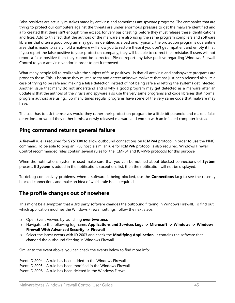False positives are actually mistakes made by antivirus and sometimes antispyware programs. The companies that are trying to protect our computers against the threats are under enormous pressure to get the malware identified and a fix created that there isn't enough time except, for very basic testing, before they must release these identifications and fixes. Add to this fact that the authors of the malware are also using the same program compilers and software libraries that often a good program may get misidentified as a bad one. Typically, the protection programs quarantine area that is made to safely hold a malware will allow you to restore these if you don't get impatient and empty it first. If you report the false positive to your protection company, they will be able to correct their mistake. If users will not report a false positive then they cannot be corrected. Please report any false positive regarding Windows Firewall Control to your antivirus vendor in order to get it removed.

What many people fail to realize with the subject of false positives... is that all antivirus and antispyware programs are prone to these. This is because they must also try and detect unknown malware that has just been released also. Its a case of trying to be safe and making a false detection instead of not being safe and letting the systems get infected. Another issue that many do not understand and is why a good program may get detected as a malware after an update is that the authors of the virus's and spyware also use the very same programs and code libraries that normal program authors are using... So many times regular programs have some of the very same code that malware may have.

The user has to ask themselves would they rather their protection program be a little bit paranoid and make a false detection... or would they rather it miss a newly released malware and end up with an infected computer instead.

### <span id="page-44-0"></span>**Ping command returns general failure**

A firewall rule is required for **SYSTEM** to allow outbound connections on **ICMPv4** protocol in order to use the PING command. To be able to ping an IPv6 host, a similar rule for **ICMPv6** protocol is also required. Windows Firewall Control recommended rules contain several rules for the ICMPv4 and ICMPv6 protocols for this purpose.

When the notifications system is used make sure that you can be notified about blocked connections of **System**  process. If **System** is added in the notifications exceptions list, then the notification will not be displayed.

To debug connectivity problems, when a software is being blocked, use the **Connections Log** to see the recently blocked connections and make an idea of which rule is still required.

# <span id="page-44-1"></span>**The profile changes out of nowhere**

This might be a symptom that a 3rd party software changes the outbound filtering in Windows Firewall. To find out which application modifies the Windows Firewall settings, follow the next steps:

- o Open Event Viewer, by launching **eventvwr.msc**
- o Navigate to the following log name: **Applications and Services Logs -> Microsoft -> Windows -> Windows Firewall With Advanced Security -> Firewall**
- o Select the latest events with ID 2003 and check the **Modifying Application**. It contains the software that changed the outbound filtering in Windows Firewall.

Similar to the event above, you can check the events below to find more info:

Event ID 2004 - A rule has been added to the Windows Firewall Event ID 2005 - A rule has been modified in the Windows Firewall Event ID 2006 - A rule has been deleted in the Windows Firewall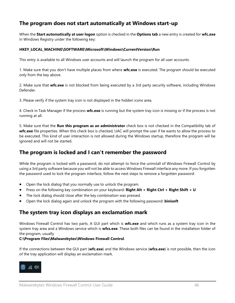# <span id="page-45-0"></span>**The program does not start automatically at Windows start-up**

When the **Start automatically at user logon** option is checked in the **Options tab** a new entry is created for **wfc.exe** in Windows Registry under the following key:

#### **HKEY\_LOCAL\_MACHINE\SOFTWARE\Microsoft\Windows\CurrentVersion\Run**

This entry is available to all Windows user accounts and will launch the program for all user accounts.

1. Make sure that you don't have multiple places from where **wfc.exe** is executed. The program should be executed only from the key above.

2. Make sure that **wfc.exe** is not blocked from being executed by a 3rd party security software, including Windows Defender.

3. Please verify if the system tray icon is not displayed in the hidden icons area.

4. Check in Task Manager if the process **wfc.exe** is running but the system tray icon is missing or if the process is not running at all.

5. Make sure that the **Run this program as an administrator** check box is not checked in the Compatibility tab of **wfc.exe** file properties. When this check box is checked, UAC will prompt the user if he wants to allow the process to be executed. This kind of user interaction is not allowed during the Windows startup, therefore the program will be ignored and will not be started.

### <span id="page-45-1"></span>**The program is locked and I can't remember the password**

While the program is locked with a password, do not attempt to force the uninstall of Windows Firewall Control by using a 3rd party software because you will not be able to access Windows Firewall interface any more. If you forgotten the password used to lock the program interface, follow the next steps to remove a forgotten password:

- Open the lock dialog that you normally use to unlock the program.
- Press on the following key combination on your keyboard: **Right Alt + Right Ctrl + Right Shift + U**
- The lock dialog should close after the key combination was pressed.
- Open the lock dialog again and unlock the program with the following password: **binisoft**

### <span id="page-45-2"></span>**The system tray icon displays an exclamation mark**

Windows Firewall Control has two parts. A GUI part which is **wfc.exe** and which runs as a system tray icon in the system tray area and a Windows service which is **wfcs.exe**. These both files can be found in the installation folder of the program, usually

#### **C:\Program Files\Malwarebytes\Windows Firewall Control**.

If the connections between the GUI part (**wfc.exe**) and the Windows service (**wfcs.exe**) is not possible, then the icon of the tray application will display an exclamation mark.

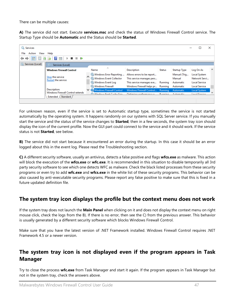There can be multiple causes:

**A)** The service did not start. Execute **services.msc** and check the status of Windows Firewall Control service. The Startup Type should be **Automatic** and the Status should be **Started**.

| Services                            |                                                                         |                                                                                               |                                                                                     |                                      |                                           |           |                                                              | ×            |
|-------------------------------------|-------------------------------------------------------------------------|-----------------------------------------------------------------------------------------------|-------------------------------------------------------------------------------------|--------------------------------------|-------------------------------------------|-----------|--------------------------------------------------------------|--------------|
| File<br>Action<br>View              | Help                                                                    |                                                                                               |                                                                                     |                                      |                                           |           |                                                              |              |
| $\Omega$<br>画<br>⇔<br>$\Rightarrow$ | $\vert$ ?<br>最<br>前<br>$\blacksquare$<br>▶■                             |                                                                                               |                                                                                     |                                      |                                           |           |                                                              |              |
| Services (Local)                    | Services (Local)                                                        |                                                                                               |                                                                                     |                                      |                                           |           |                                                              |              |
|                                     | <b>Windows Firewall Control</b>                                         | ᄉ<br>Name                                                                                     | <b>Description</b>                                                                  | <b>Status</b>                        | <b>Startup Type</b>                       | Log On As |                                                              | $\sim$       |
|                                     | Stop the service<br>Restart the service                                 | Windows Error Reporting<br>Windows Event Collector<br>Windows Event Log                       | Allows errors to be report<br>This service manages pers<br>This service manages eve | Running                              | Manual (Trig<br>Manual<br>Automatic       |           | Local System<br>Network Servi<br><b>Local Service</b>        |              |
|                                     | Description:<br>Windows Firewall Control extends<br>Extended / Standard | <b>C. Windows Firewall</b><br>V Windows Firewall Control<br><b>10 Mindows Foot Casho Sons</b> | Windows Firewall helps pr<br>Windows Firewall Control<br>Optimizer notermance a     | Running<br>Running<br><b>Dunning</b> | Automatic<br>Automatic<br>$A + A + B + B$ |           | <b>Local Service</b><br>Local System<br><b>Local Condice</b> | $\mathbf{v}$ |
|                                     |                                                                         |                                                                                               |                                                                                     |                                      |                                           |           |                                                              |              |

For unknown reason, even if the service is set to Automatic startup type, sometimes the service is not started automatically by the operating system. It happens randomly on our systems with SQL Server service. If you manually start the service and the status of the service changes to **Started**, then in a few seconds, the system tray icon should display the icon of the current profile. Now the GUI part could connect to the service and it should work. If the service status is not **Started**, see below.

**B)** The service did not start because it encountered an error during the startup. In this case it should be an error logged about this in the event log. Please read the Troubleshooting section.

**C)** A different security software, usually an antivirus, detects a false positive and flags **wfcs.exe** as malware. This action will block the execution of the **wfcs.exe** or **wfc.exe**. It is recommended in this situation to disable temporarily all 3rd party security software to see which one detects WFC as malware. Check the black listed processes from these security programs or even try to add **wfc.exe** and **wfcs.exe** in the white list of these security programs. This behavior can be also caused by anti-executable security programs. Please report any false positive to make sure that this is fixed in a future updated definition file.

### <span id="page-46-0"></span>**The system tray icon displays the profile but the context menu does not work**

If the system tray does not launch the **Main Panel** when clicking on it and does not display the context menu on right mouse click, check the logs from the B). If there is no error, then see the C) from the previous answer. This behavior is usually generated by a different security software which blocks Windows Firewall Control.

Make sure that you have the latest version of .NET Framework installed. Windows Firewall Control requires .NET Framework 4.5 or a newer version.

# <span id="page-46-1"></span>**The system tray icon is not displayed even if the program appears in Task Manager**

Try to close the process **wfc.exe** from Task Manager and start it again. If the program appears in Task Manager but not in the system tray, check the answers above.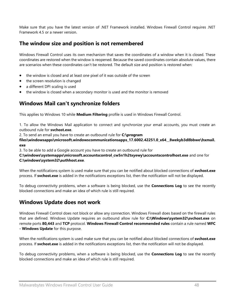Make sure that you have the latest version of .NET Framework installed. Windows Firewall Control requires .NET Framework 4.5 or a newer version.

# <span id="page-47-0"></span>**The window size and position is not remembered**

Windows Firewall Control uses its own mechanism that saves the coordinates of a window when it is closed. These coordinates are restored when the window is reopened. Because the saved coordinates contain absolute values, there are scenarios when these coordinates can't be restored. The default size and position is restored when:

- the window is closed and at least one pixel of it was outside of the screen
- the screen resolution is changed
- a different DPI scaling is used
- the window is closed when a secondary monitor is used and the monitor is removed

# <span id="page-47-1"></span>**Windows Mail can't synchronize folders**

This applies to Windows 10 while **Medium Filtering** profile is used in Windows Firewall Control.

1. To allow the Windows Mail application to connect and synchronize your email accounts, you must create an outbound rule for **svchost.exe**.

2. To send an email you have to create an outbound rule for **C:\program** 

**files\windowsapps\microsoft.windowscommunicationsapps\_17.6002.42251.0\_x64\_\_8wekyb3d8bbwe\hxmail. exe**

3. To be able to add a Google account you have to create an outbound rule for

**C:\windows\systemapps\microsoft.accountscontrol\_cw5n1h2txyewy\accountscontrolhost.exe** and one for **C:\windows\system32\authhost.exe**.

When the notifications system is used make sure that you can be notified about blocked connections of **svchost.exe**  process. If **svchost.exe** is added in the notifications exceptions list, then the notification will not be displayed.

To debug connectivity problems, when a software is being blocked, use the **Connections Log** to see the recently blocked connections and make an idea of which rule is still required.

# <span id="page-47-2"></span>**Windows Update does not work**

Windows Firewall Control does not block or allow any connection. Windows Firewall does based on the firewall rules that are defined. Windows Update requires an outbound allow rule for **C:\Windows\system32\svchost.exe** on remote ports **80,443** and **TCP** protocol. **Windows Firewall Control recommended rules** contain a rule named **WFC - Windows Update** for this purpose.

When the notifications system is used make sure that you can be notified about blocked connections of **svchost.exe**  process. If **svchost.exe** is added in the notifications exceptions list, then the notification will not be displayed.

To debug connectivity problems, when a software is being blocked, use the **Connections Log** to see the recently blocked connections and make an idea of which rule is still required.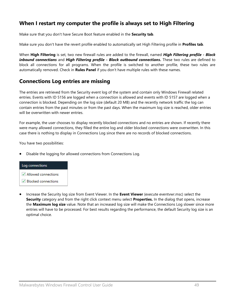# <span id="page-48-0"></span>**When I restart my computer the profile is always set to High Filtering**

Make sure that you don't have Secure Boot feature enabled in the **Security tab**.

Make sure you don't have the revert profile enabled to automatically set High Filtering profile in **Profiles tab**.

When **High Filtering** is set, two new firewall rules are added to the firewall, named *High Filtering profile - Block inbound connections* and *High Filtering profile - Block outbound connections***.** These two rules are defined to block all connections for all programs. When the profile is switched to another profile, these two rules are automatically removed. Check in **Rules Panel** if you don't have multiple rules with these names.

# <span id="page-48-1"></span>**Connections Log entries are missing**

The entries are retrieved from the Security event log of the system and contain only Windows Firewall related entries. Events with ID 5156 are logged when a connection is allowed and events with ID 5157 are logged when a connection is blocked. Depending on the log size (default 20 MB) and the recently network traffic the log can contain entries from the past minutes or from the past days. When the maximum log size is reached, older entries will be overwritten with newer entries.

For example, the user chooses to display recently blocked connections and no entries are shown. If recently there were many allowed connections, they filled the entire log and older blocked connections were overwritten. In this case there is nothing to display in Connections Log since there are no records of blocked connections.

You have two possibilities:

• Disable the logging for allowed connections from Connections Log.



• Increase the Security log size from Event Viewer. In the **Event Viewer** (execute eventvwr.msc) select the **Security** category and from the right click context menu select **Properties.** In the dialog that opens, increase the **Maximum log size** value. Note that an increased log size will make the Connections Log slower since more entries will have to be processed. For best results regarding the performance, the default Security log size is an optimal choice.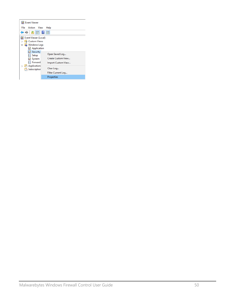| <b>Event Viewer</b>                                                                   |                                                                                               |
|---------------------------------------------------------------------------------------|-----------------------------------------------------------------------------------------------|
| File<br>Action<br>View                                                                | Help                                                                                          |
| $\Leftrightarrow$ $\lozenge$ $\blacksquare$ $\blacksquare$ $\blacksquare$             |                                                                                               |
| Event Viewer (Local)<br><b>Custom Views</b><br><b>Windows Logs</b>                    |                                                                                               |
| Application<br>Security<br>Setup<br>System<br>Forward<br>Application:<br>Subscription | Open Saved Log<br>Create Custom View<br>Import Custom View<br>Clear Log<br>Filter Current Log |
|                                                                                       | Properties                                                                                    |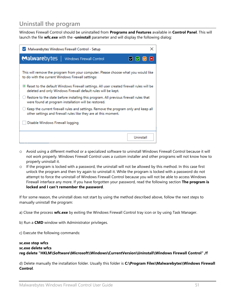# <span id="page-50-0"></span>**Uninstall the program**

Windows Firewall Control should be uninstalled from **Programs and Features** available in **Control Panel**. This will launch the file **wfc.exe** with the **-uninstall** parameter and will display the following dialog:

| ×<br>Malwarebytes Windows Firewall Control - Setup                                                                                                         |  |  |  |  |  |  |
|------------------------------------------------------------------------------------------------------------------------------------------------------------|--|--|--|--|--|--|
| Malwarebytes   Windows Firewall Control<br>◙◙◙⊠                                                                                                            |  |  |  |  |  |  |
| This will remove the program from your computer. Please choose what you would like<br>to do with the current Windows Firewall settings:                    |  |  |  |  |  |  |
| ® Reset to the default Windows Firewall settings. All user created firewall rules will be<br>deleted and only Windows Firewall default rules will be kept. |  |  |  |  |  |  |
| Restore to the state before installing this program. All previous firewall rules that<br>were found at program installation will be restored.              |  |  |  |  |  |  |
| Keep the current firewall rules and settings. Remove the program only and keep all<br>other settings and firewall rules like they are at this moment.      |  |  |  |  |  |  |
| Disable Windows Firewall logging                                                                                                                           |  |  |  |  |  |  |
| Uninstall                                                                                                                                                  |  |  |  |  |  |  |

- o Avoid using a different method or a specialized software to uninstall Windows Firewall Control because it will not work properly. Windows Firewall Control uses a custom installer and other programs will not know how to properly uninstall it.
- $\circ$  If the program is locked with a password, the uninstall will not be allowed by this method. In this case first unlock the program and then try again to uninstall it. While the program is locked with a password do not attempt to force the uninstall of Windows Firewall Control because you will not be able to access Windows Firewall interface any more. If you have forgotten your password, read the following section **The program is locked and I can't remember the password**.

If for some reason, the uninstall does not start by using the method described above, follow the next steps to manually uninstall the program:

- a) Close the process **wfc.exe** by exiting the Windows Firewall Control tray icon or by using Task Manager.
- b) Run a **CMD** window with Administrator privileges.
- c) Execute the following commands:

#### **sc.exe stop wfcs sc.exe delete wfcs reg delete "HKLM\Software\Microsoft\Windows\CurrentVersion\Uninstall\Windows Firewall Control" /f**

d) Delete manually the installation folder. Usually this folder is **C:\Program Files\Malwarebytes\Windows Firewall Control**.